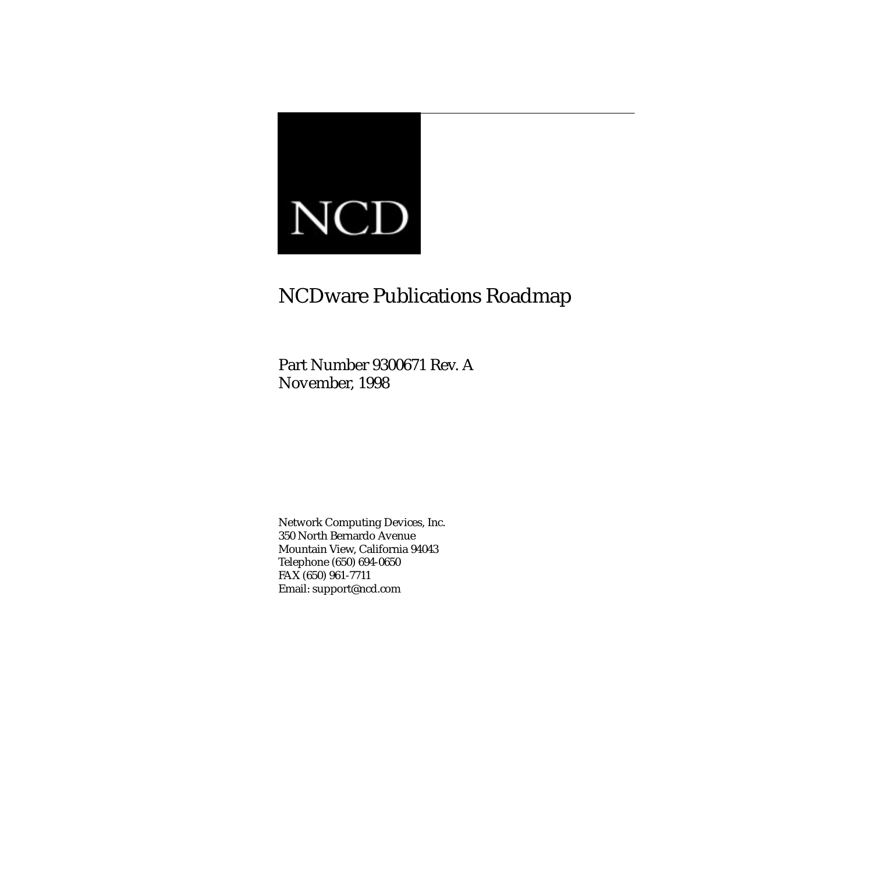# **NCD**

## NCDware Publications Roadmap

Part Number 9300671 Rev. A November, 1998

Network Computing Devices, Inc. 350 North Bernardo Avenue Mountain View, California 94043 Telephone (650) 694-0650 FAX (650) 961-7711 Email: support@ncd.com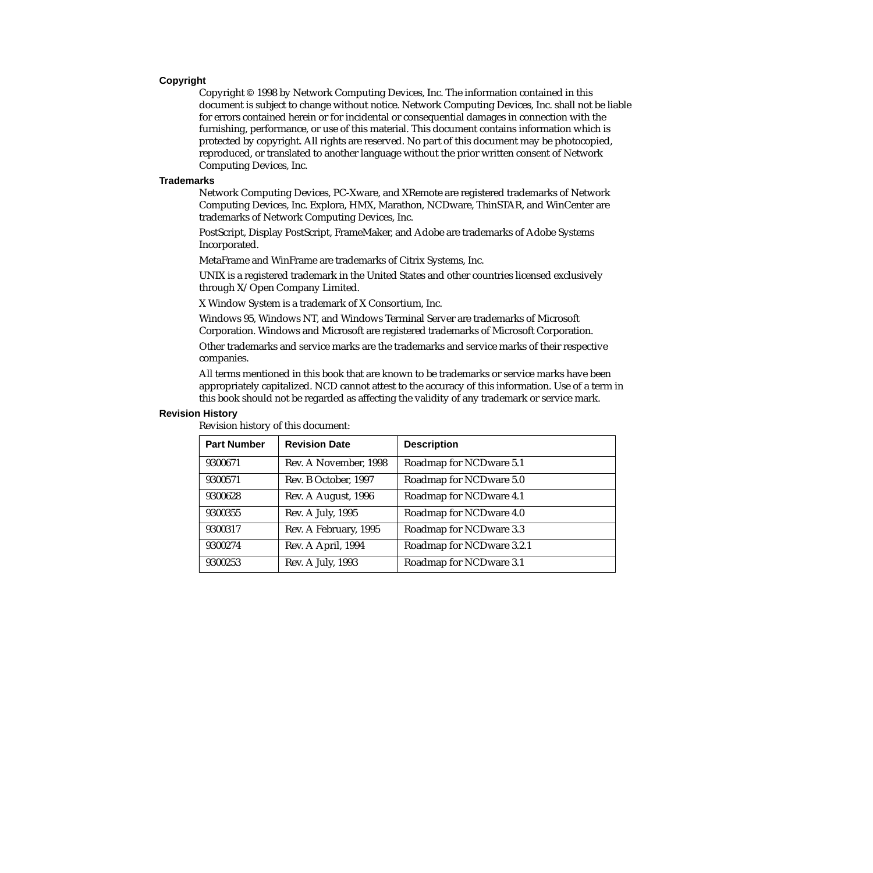#### **Copyright**

Copyright **©** 1998 by Network Computing Devices, Inc. The information contained in this document is subject to change without notice. Network Computing Devices, Inc. shall not be liable for errors contained herein or for incidental or consequential damages in connection with the furnishing, performance, or use of this material. This document contains information which is protected by copyright. All rights are reserved. No part of this document may be photocopied, reproduced, or translated to another language without the prior written consent of Network Computing Devices, Inc.

#### **Trademarks**

Network Computing Devices, PC-Xware, and XRemote are registered trademarks of Network Computing Devices, Inc. Explora, HMX, Marathon, NCDware, ThinSTAR, and WinCenter are trademarks of Network Computing Devices, Inc.

PostScript, Display PostScript, FrameMaker, and Adobe are trademarks of Adobe Systems Incorporated.

MetaFrame and WinFrame are trademarks of Citrix Systems, Inc.

UNIX is a registered trademark in the United States and other countries licensed exclusively through X/Open Company Limited.

X Window System is a trademark of X Consortium, Inc.

Windows 95, Windows NT, and Windows Terminal Server are trademarks of Microsoft Corporation. Windows and Microsoft are registered trademarks of Microsoft Corporation.

Other trademarks and service marks are the trademarks and service marks of their respective companies.

All terms mentioned in this book that are known to be trademarks or service marks have been appropriately capitalized. NCD cannot attest to the accuracy of this information. Use of a term in this book should not be regarded as affecting the validity of any trademark or service mark.

#### **Revision History**

Revision history of this document:

| <b>Part Number</b> | <b>Revision Date</b>  | <b>Description</b>        |
|--------------------|-----------------------|---------------------------|
| 9300671            | Rev. A November, 1998 | Roadmap for NCDware 5.1   |
| 9300571            | Rev. B October, 1997  | Roadmap for NCDware 5.0   |
| 9300628            | Rev. A August, 1996   | Roadmap for NCDware 4.1   |
| 9300355            | Rev. A July, 1995     | Roadmap for NCDware 4.0   |
| 9300317            | Rev. A February, 1995 | Roadmap for NCDware 3.3   |
| 9300274            | Rev. A April, 1994    | Roadmap for NCDware 3.2.1 |
| 9300253            | Rev. A July, 1993     | Roadmap for NCDware 3.1   |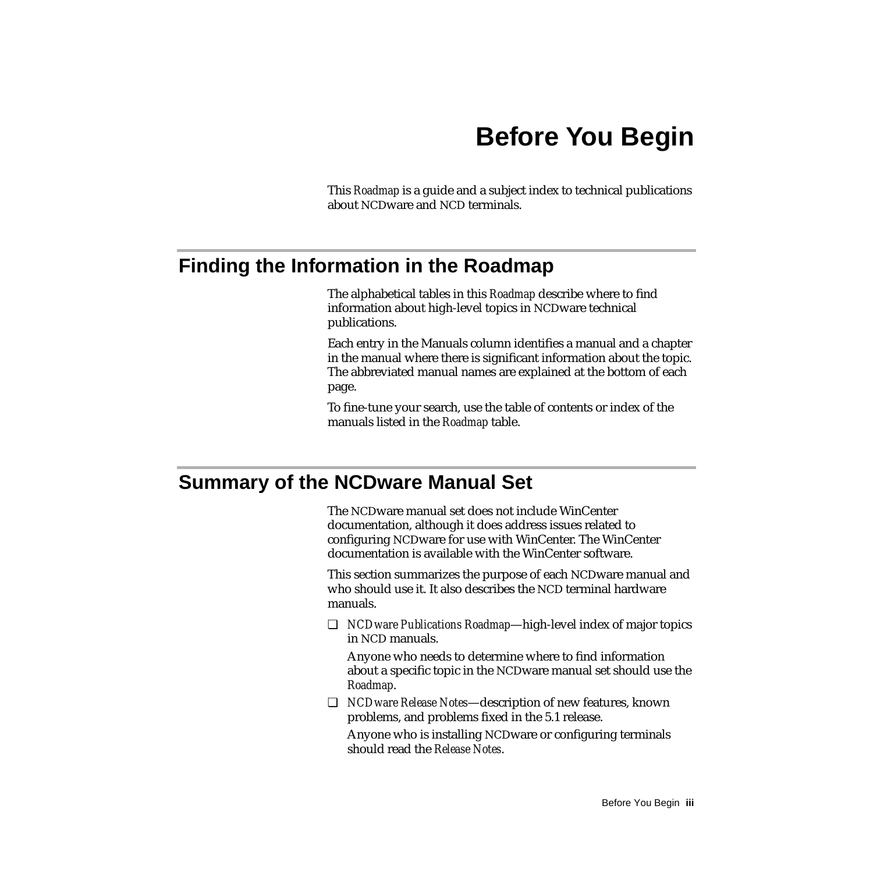# **Before You Begin**

This *Roadmap* is a guide and a subject index to technical publications about NCDware and NCD terminals.

#### **Finding the Information in the Roadmap**

The alphabetical tables in this *Roadmap* describe where to find information about high-level topics in NCDware technical publications.

Each entry in the Manuals column identifies a manual and a chapter in the manual where there is significant information about the topic. The abbreviated manual names are explained at the bottom of each page.

To fine-tune your search, use the table of contents or index of the manuals listed in the *Roadmap* table.

#### **Summary of the NCDware Manual Set**

The NCDware manual set does not include WinCenter documentation, although it does address issues related to configuring NCDware for use with WinCenter. The WinCenter documentation is available with the WinCenter software.

This section summarizes the purpose of each NCDware manual and who should use it. It also describes the NCD terminal hardware manuals.

❏ *NCDware Publications Roadmap*—high-level index of major topics in NCD manuals.

Anyone who needs to determine where to find information about a specific topic in the NCDware manual set should use the *Roadmap*.

❏ *NCDware Release Notes*—description of new features, known problems, and problems fixed in the 5.1 release.

Anyone who is installing NCDware or configuring terminals should read the *Release Notes*.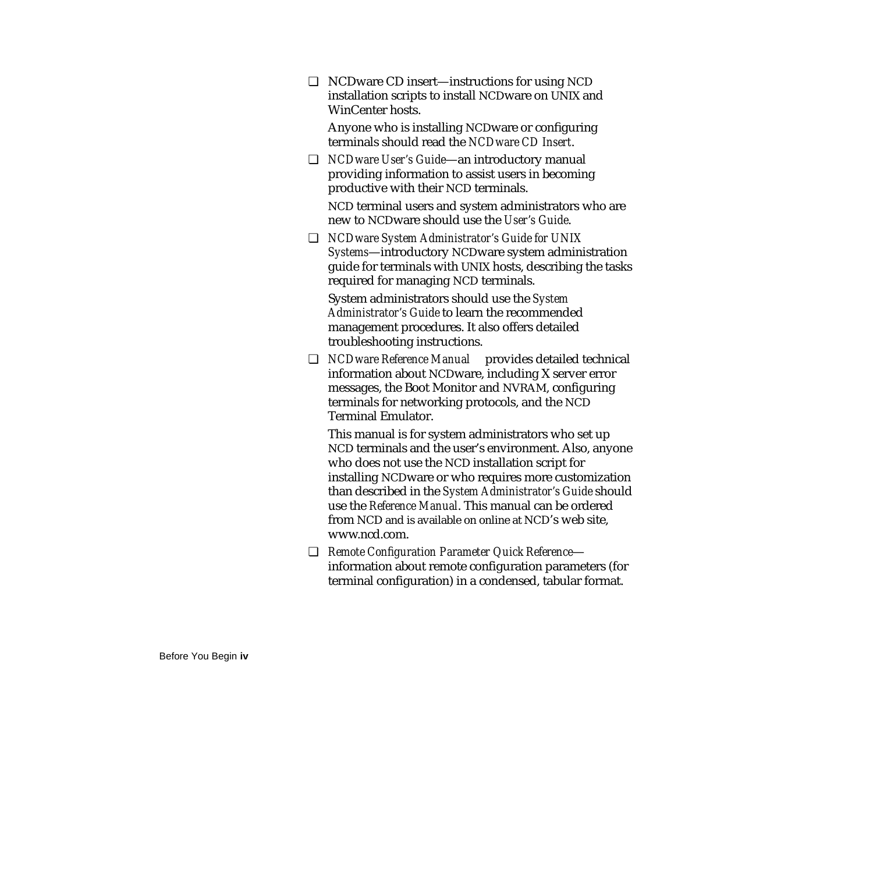❏ NCDware CD insert—instructions for using NCD installation scripts to install NCDware on UNIX and WinCenter hosts.

Anyone who is installing NCDware or configuring terminals should read the *NCDware CD Insert*.

- ❏ *NCDware User's Guide*—an introductory manual providing information to assist users in becoming productive with their NCD terminals. NCD terminal users and system administrators who are new to NCDware should use the *User's Guide*.
- ❏ *NCDware System Administrator's Guide for UNIX Systems*—introductory NCDware system administration guide for terminals with UNIX hosts, describing the tasks required for managing NCD terminals.

System administrators should use the *System Administrator's Guide* to learn the recommended management procedures. It also offers detailed troubleshooting instructions.

❏ *NCDware Reference Manual* provides detailed technical information about NCDware, including X server error messages, the Boot Monitor and NVRAM, configuring terminals for networking protocols, and the NCD Terminal Emulator.

This manual is for system administrators who set up NCD terminals and the user's environment. Also, anyone who does not use the NCD installation script for installing NCDware or who requires more customization than described in the *System Administrator's Guide* should use the *Reference Manual*. This manual can be ordered from NCD and is available on online at NCD's web site, www.ncd.com.

❏ *Remote Configuration Parameter Quick Reference* information about remote configuration parameters (for terminal configuration) in a condensed, tabular format.

Before You Begin **iv**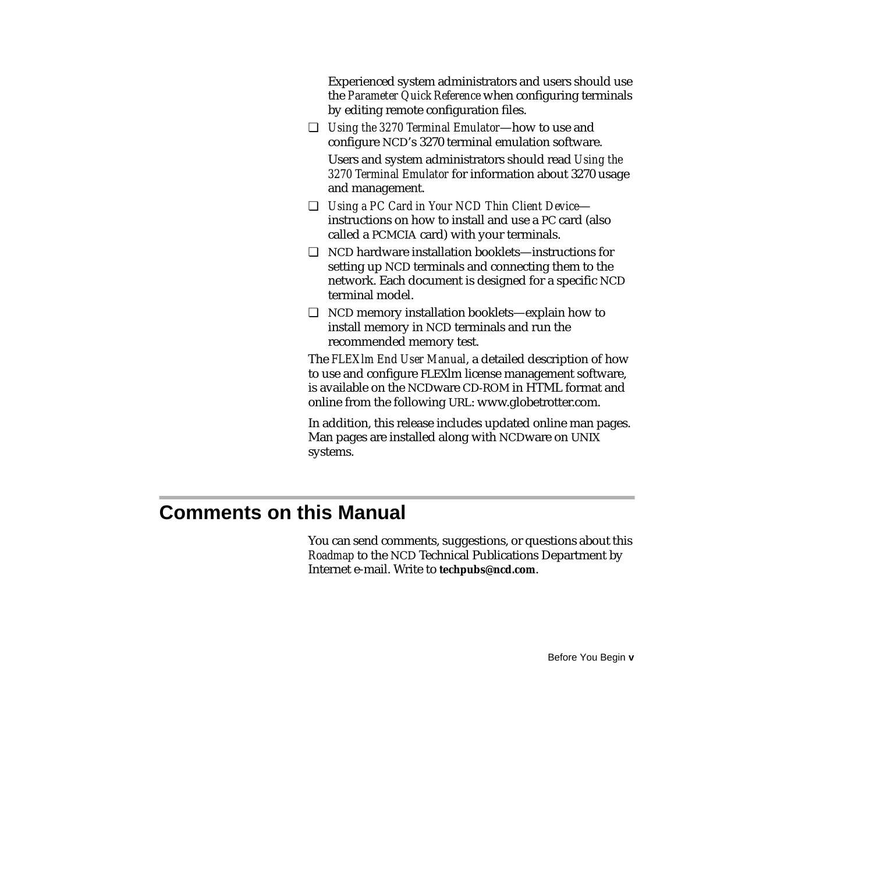Experienced system administrators and users should use the *Parameter Quick Reference* when configuring terminals by editing remote configuration files.

- ❏ *Using the 3270 Terminal Emulator*—how to use and configure NCD's 3270 terminal emulation software. Users and system administrators should read *Using the 3270 Terminal Emulator* for information about 3270 usage and management.
- ❏ *Using a PC Card in Your NCD Thin Client Device* instructions on how to install and use a PC card (also called a PCMCIA card) with your terminals.
- ❏ NCD hardware installation booklets—instructions for setting up NCD terminals and connecting them to the network. Each document is designed for a specific NCD terminal model.
- ❏ NCD memory installation booklets—explain how to install memory in NCD terminals and run the recommended memory test.

The *FLEXlm End User Manual*, a detailed description of how to use and configure FLEXlm license management software, is available on the NCDware CD-ROM in HTML format and online from the following URL: www.globetrotter.com.

In addition, this release includes updated online man pages. Man pages are installed along with NCDware on UNIX systems.

#### **Comments on this Manual**

You can send comments, suggestions, or questions about this *Roadmap* to the NCD Technical Publications Department by Internet e-mail. Write to **techpubs@ncd.com**.

Before You Begin **v**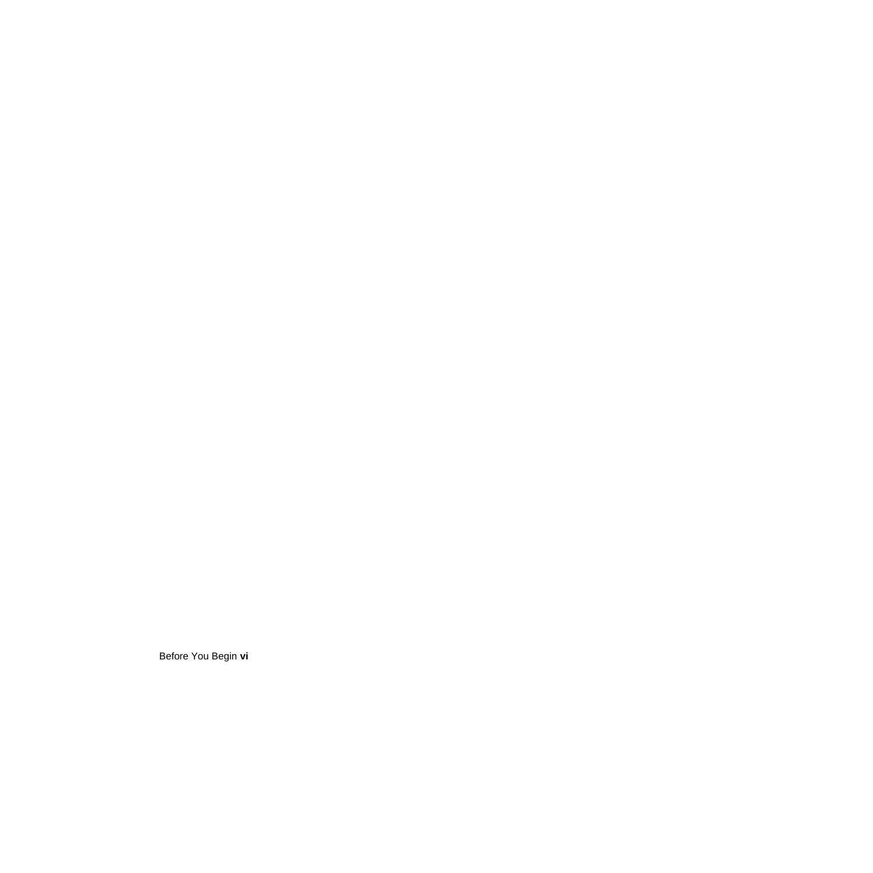Before You Begin **vi**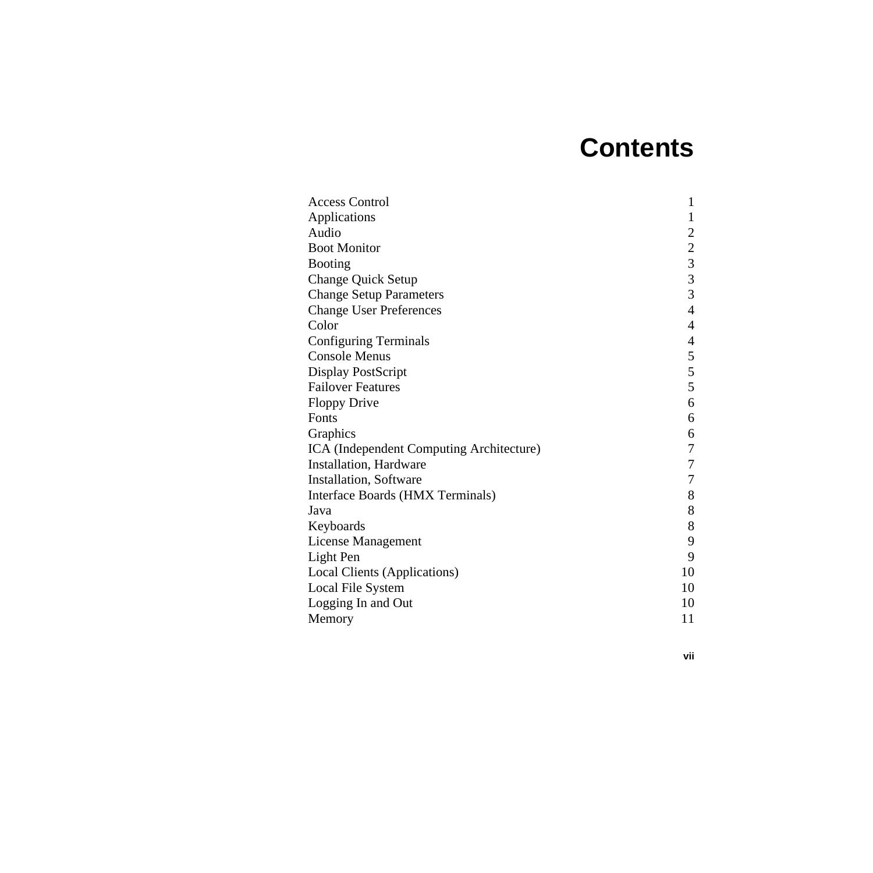# **[Contents](#page-8-0)**

| <b>Access Control</b>                    | $\mathbf{1}$                               |
|------------------------------------------|--------------------------------------------|
| Applications                             | $\mathbf{1}$                               |
| Audio                                    |                                            |
| <b>Boot Monitor</b>                      | $\begin{array}{c} 2 \\ 2 \\ 3 \end{array}$ |
| <b>Booting</b>                           |                                            |
| <b>Change Quick Setup</b>                | 3                                          |
| <b>Change Setup Parameters</b>           | $\overline{3}$                             |
| <b>Change User Preferences</b>           | $\overline{4}$                             |
| Color                                    | $\overline{4}$                             |
| <b>Configuring Terminals</b>             | $\overline{4}$                             |
| <b>Console Menus</b>                     | 5                                          |
| Display PostScript                       | 5                                          |
| <b>Failover Features</b>                 | 5                                          |
| <b>Floppy Drive</b>                      | 6                                          |
| Fonts                                    | 6                                          |
| Graphics                                 | 6                                          |
| ICA (Independent Computing Architecture) | 7                                          |
| <b>Installation</b> , Hardware           | 7                                          |
| Installation, Software                   | 7                                          |
| Interface Boards (HMX Terminals)         | 8                                          |
| Java                                     | 8                                          |
| Keyboards                                | 8                                          |
| <b>License Management</b>                | 9                                          |
| Light Pen                                | 9                                          |
| Local Clients (Applications)             | 10                                         |
| Local File System                        | 10                                         |
| Logging In and Out                       | 10                                         |
| Memory                                   | 11                                         |
|                                          |                                            |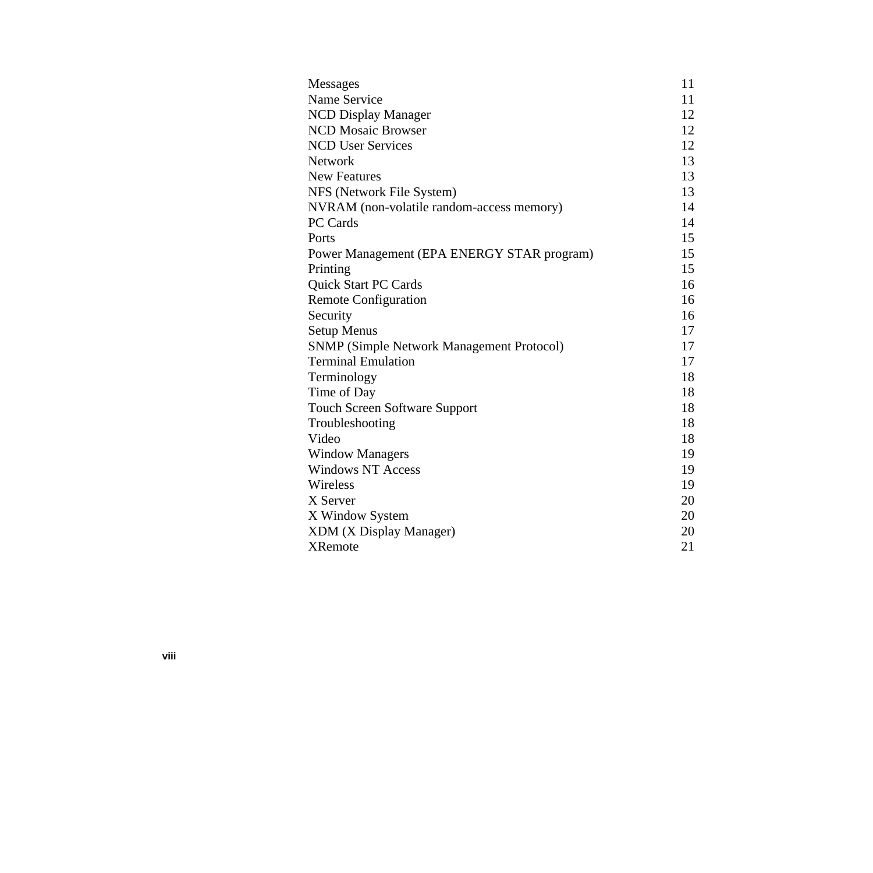| Messages                                         | 11 |
|--------------------------------------------------|----|
| Name Service                                     | 11 |
| <b>NCD Display Manager</b>                       | 12 |
| <b>NCD Mosaic Browser</b>                        | 12 |
| <b>NCD User Services</b>                         | 12 |
| Network                                          | 13 |
| <b>New Features</b>                              | 13 |
| NFS (Network File System)                        | 13 |
| NVRAM (non-volatile random-access memory)        | 14 |
| <b>PC</b> Cards                                  | 14 |
| Ports                                            | 15 |
| Power Management (EPA ENERGY STAR program)       | 15 |
| Printing                                         | 15 |
| Quick Start PC Cards                             | 16 |
| <b>Remote Configuration</b>                      | 16 |
| Security                                         | 16 |
| <b>Setup Menus</b>                               | 17 |
| <b>SNMP</b> (Simple Network Management Protocol) | 17 |
| <b>Terminal Emulation</b>                        | 17 |
| Terminology                                      | 18 |
| Time of Day                                      | 18 |
| <b>Touch Screen Software Support</b>             | 18 |
| Troubleshooting                                  | 18 |
| Video                                            | 18 |
| <b>Window Managers</b>                           | 19 |
| <b>Windows NT Access</b>                         | 19 |
| Wireless                                         | 19 |
| X Server                                         | 20 |
| X Window System                                  | 20 |
| <b>XDM</b> (X Display Manager)                   | 20 |
| <b>XRemote</b>                                   | 21 |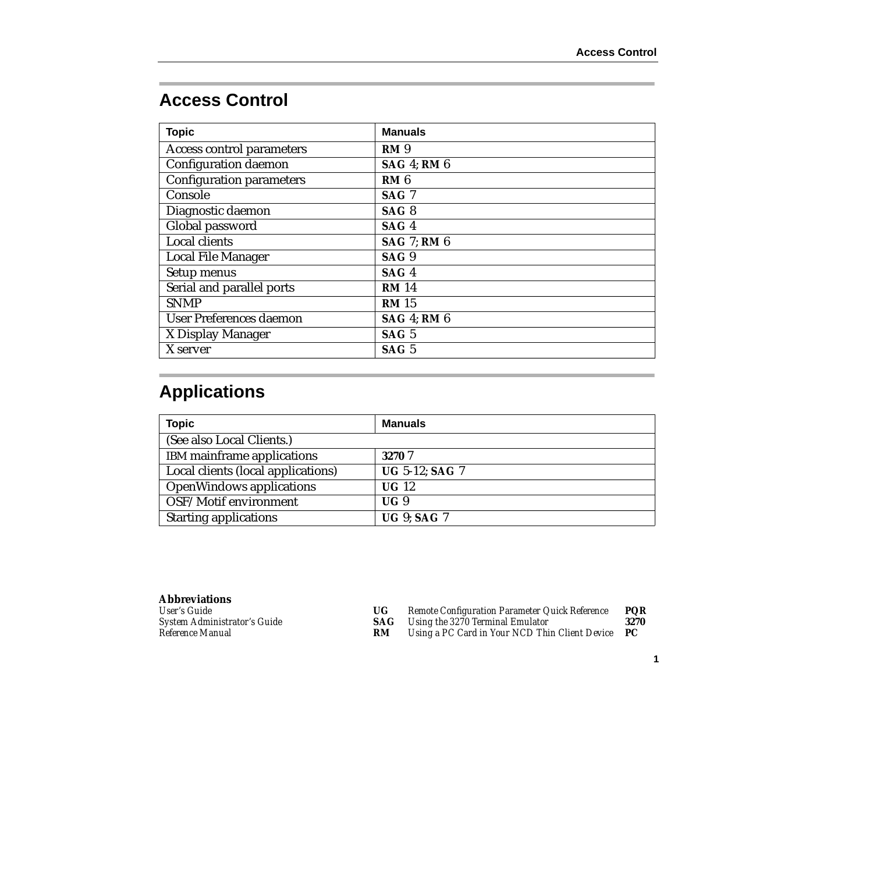#### <span id="page-8-0"></span>**Access Control**

| <b>Topic</b>                     | <b>Manuals</b>     |
|----------------------------------|--------------------|
| <b>Access control parameters</b> | <b>RM9</b>         |
| <b>Configuration daemon</b>      | <b>SAG 4; RM 6</b> |
| <b>Configuration parameters</b>  | RM <sub>6</sub>    |
| Console                          | SAG <sub>7</sub>   |
| Diagnostic daemon                | SAG <sub>8</sub>   |
| Global password                  | SAG4               |
| <b>Local clients</b>             | <b>SAG 7; RM 6</b> |
| <b>Local File Manager</b>        | SAG <sub>9</sub>   |
| Setup menus                      | SAG <sub>4</sub>   |
| Serial and parallel ports        | <b>RM</b> 14       |
| <b>SNMP</b>                      | <b>RM</b> 15       |
| <b>User Preferences daemon</b>   | <b>SAG 4; RM 6</b> |
| X Display Manager                | SAG <sub>5</sub>   |
| X server                         | SAG <sub>5</sub>   |

### **Applications**

| <b>Topic</b>                       | Manuals               |
|------------------------------------|-----------------------|
| (See also Local Clients.)          |                       |
| IBM mainframe applications         | 32707                 |
| Local clients (local applications) | <b>UG 5-12; SAG 7</b> |
| <b>OpenWindows applications</b>    | UG 12                 |
| OSF/Motif environment              | UG <sub>9</sub>       |
| <b>Starting applications</b>       | <b>UG 9; SAG 7</b>    |

**Abbreviations**

- *User's Guide* **UG** *Remote Configuration Parameter Quick Reference* **PQR**
- *System Administrator's Guide* **SAG** *Using the 3270 Terminal Emulator* **3270**
- *Reference Manual* **RM** *Using a PC Card in Your NCD Thin Client Device* **PC**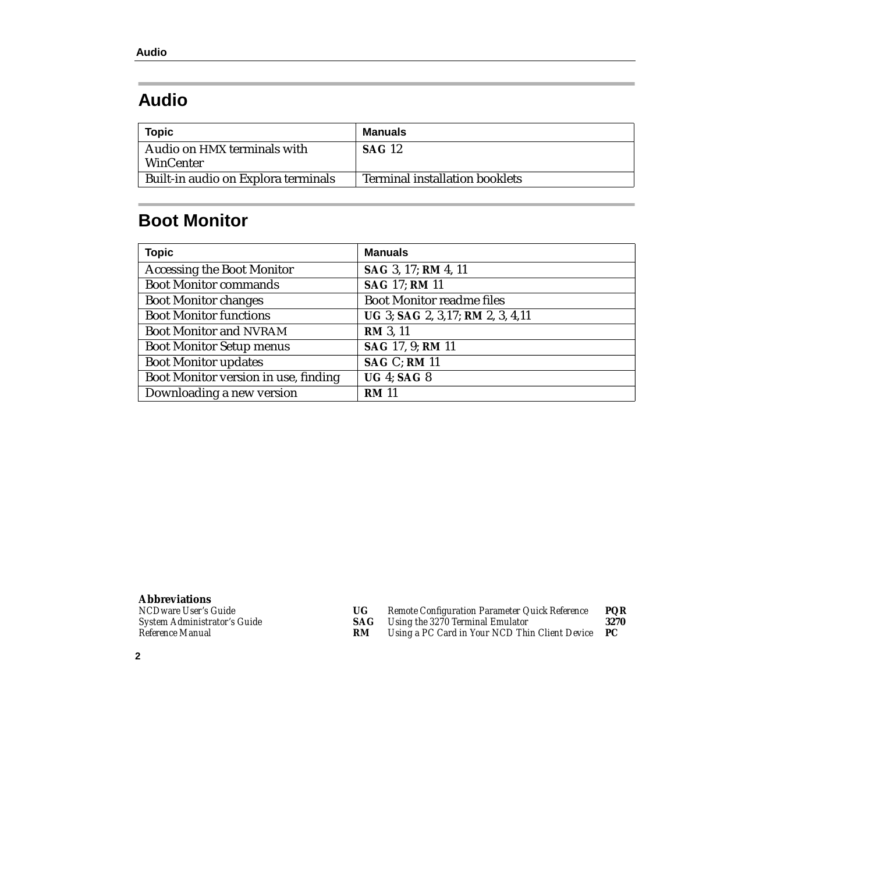#### <span id="page-9-0"></span>**Audio**

| <b>Topic</b>                             | <b>Manuals</b>                 |
|------------------------------------------|--------------------------------|
| Audio on HMX terminals with<br>WinCenter | <b>SAG 12</b>                  |
| Built-in audio on Explora terminals      | Terminal installation booklets |

#### **Boot Monitor**

| <b>Topic</b>                         | <b>Manuals</b>                   |
|--------------------------------------|----------------------------------|
| <b>Accessing the Boot Monitor</b>    | SAG 3, 17; RM 4, 11              |
| <b>Boot Monitor commands</b>         | SAG 17; RM 11                    |
| <b>Boot Monitor changes</b>          | <b>Boot Monitor readme files</b> |
| <b>Boot Monitor functions</b>        | UG 3; SAG 2, 3,17; RM 2, 3, 4,11 |
| <b>Boot Monitor and NVRAM</b>        | RM 3, 11                         |
| <b>Boot Monitor Setup menus</b>      | SAG 17, 9; RM 11                 |
| <b>Boot Monitor updates</b>          | SAG C; RM 11                     |
| Boot Monitor version in use, finding | <b>UG 4: SAG 8</b>               |
| Downloading a new version            | <b>RM</b> 11                     |

**Abbreviations**

*System Administrator's Guide* **SAG** *Using the 3270 Terminal Emulator* **3270**

*NCDware User's Guide* **UG** *Remote Configuration Parameter Quick Reference* **PQR**

*Reference Manual* **RM** *Using a PC Card in Your NCD Thin Client Device* **PC**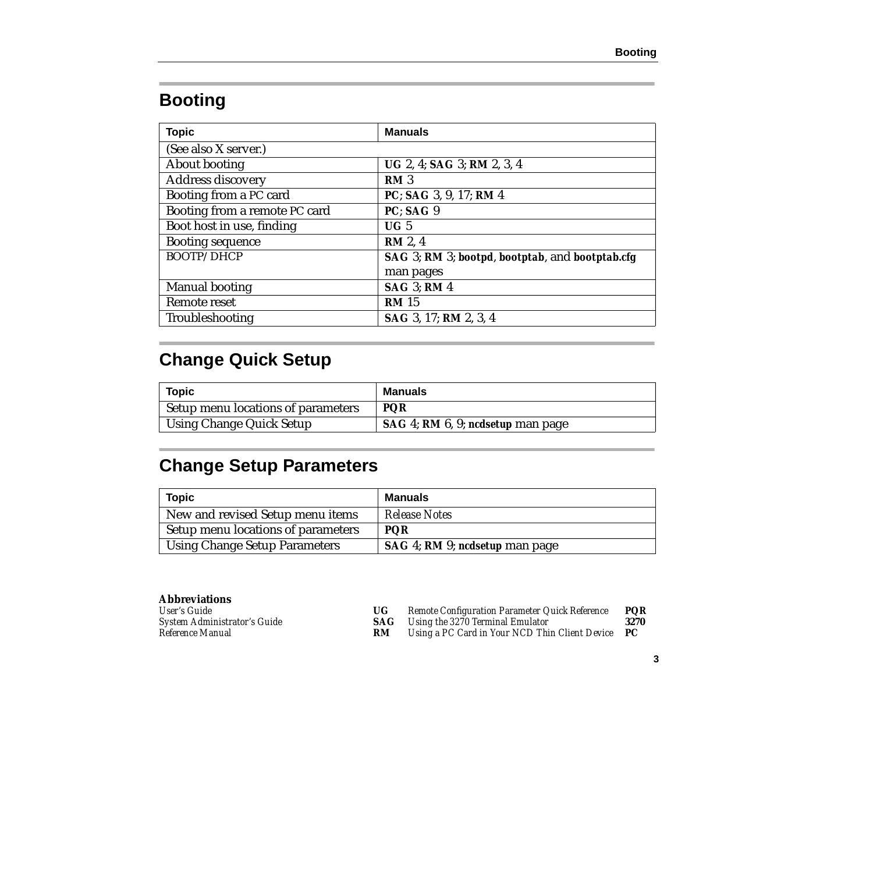### <span id="page-10-0"></span>**Booting**

| <b>Topic</b>                  | <b>Manuals</b>                                  |
|-------------------------------|-------------------------------------------------|
| (See also X server.)          |                                                 |
| About booting                 | UG 2, 4; SAG 3; RM 2, 3, 4                      |
| Address discovery             | RM <sub>3</sub>                                 |
| Booting from a PC card        | PC; SAG 3, 9, 17; RM 4                          |
| Booting from a remote PC card | PC; SAG 9                                       |
| Boot host in use, finding     | $UG_5$                                          |
| <b>Booting sequence</b>       | RM 2, 4                                         |
| <b>BOOTP/DHCP</b>             | SAG 3; RM 3; bootpd, bootptab, and bootptab.cfg |
|                               | man pages                                       |
| <b>Manual booting</b>         | <b>SAG 3; RM 4</b>                              |
| Remote reset                  | <b>RM</b> 15                                    |
| Troubleshooting               | SAG 3, 17; RM 2, 3, 4                           |

## **Change Quick Setup**

| <b>Topic</b>                       | Manuals                           |
|------------------------------------|-----------------------------------|
| Setup menu locations of parameters | POR                               |
| <b>Using Change Quick Setup</b>    | SAG 4; RM 6, 9; ncdsetup man page |

## **Change Setup Parameters**

| <b>Topic</b>                         | Manuals                               |
|--------------------------------------|---------------------------------------|
| New and revised Setup menu items     | <b>Release Notes</b>                  |
| Setup menu locations of parameters   | PQR                                   |
| <b>Using Change Setup Parameters</b> | <b>SAG 4; RM 9; ncdsetup man page</b> |

| <b>Abbreviations</b>         |    |                                                       |      |
|------------------------------|----|-------------------------------------------------------|------|
| User's Guide                 |    | <b>Remote Configuration Parameter Quick Reference</b> | PQR  |
| System Administrator's Guide |    | <b>SAG</b> Using the 3270 Terminal Emulator           | 3270 |
| Reference Manual             | RM | Using a PC Card in Your NCD Thin Client Device PC     |      |
|                              |    |                                                       |      |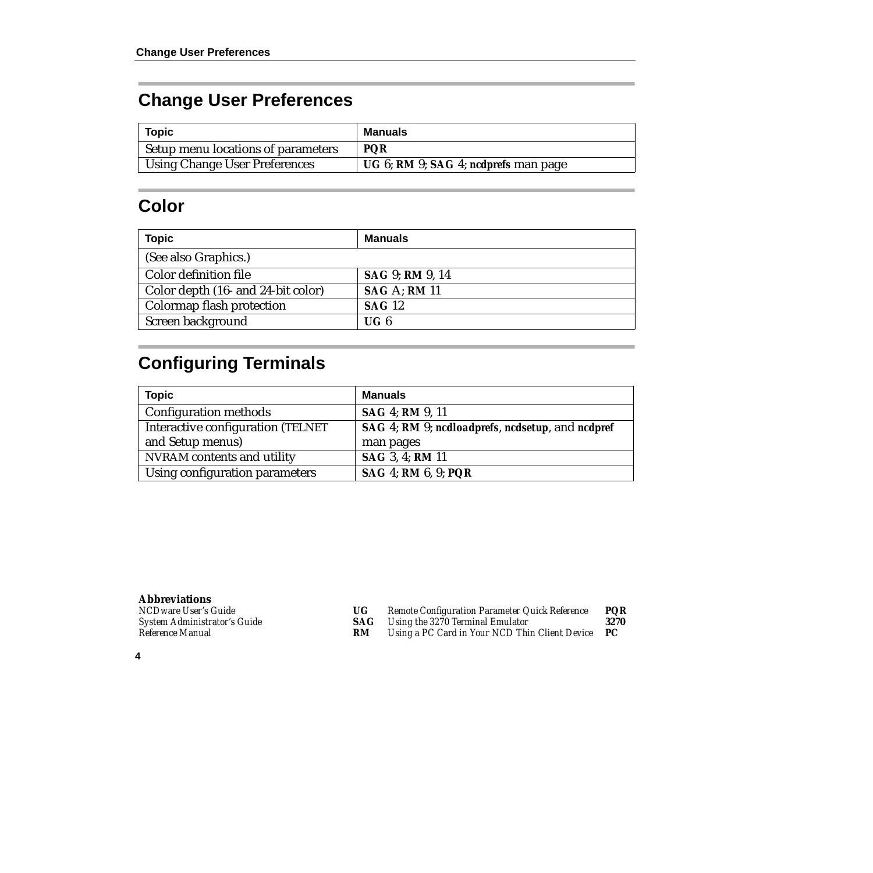#### <span id="page-11-0"></span>**Change User Preferences**

| Topic                                | Manuals                                     |
|--------------------------------------|---------------------------------------------|
| Setup menu locations of parameters   | <b>POR</b>                                  |
| <b>Using Change User Preferences</b> | <b>UG 6; RM 9; SAG 4; ncdprefs man page</b> |

#### **Color**

| <b>Topic</b>                       | <b>Manuals</b>         |
|------------------------------------|------------------------|
| (See also Graphics.)               |                        |
| Color definition file              | <b>SAG 9; RM 9, 14</b> |
| Color depth (16- and 24-bit color) | <b>SAG A; RM 11</b>    |
| Colormap flash protection          | <b>SAG 12</b>          |
| Screen background                  | UG6                    |

#### **Configuring Terminals**

| <b>Topic</b>                      | Manuals                                          |
|-----------------------------------|--------------------------------------------------|
| Configuration methods             | SAG 4; RM 9, 11                                  |
| Interactive configuration (TELNET | SAG 4; RM 9; ncdloadprefs, ncdsetup, and ncdpref |
| and Setup menus)                  | man pages                                        |
| NVRAM contents and utility        | <b>SAG 3, 4; RM 11</b>                           |
| Using configuration parameters    | <b>SAG 4; RM 6, 9; PQR</b>                       |

**Abbreviations**

*NCDware User's Guide* **UG** *Remote Configuration Parameter Quick Reference* **PQR**

*System Administrator's Guide* **SAG** *Using the 3270 Terminal Emulator* **3270**  $L$  *Using a PC Card in Your NCD Thin Client Device*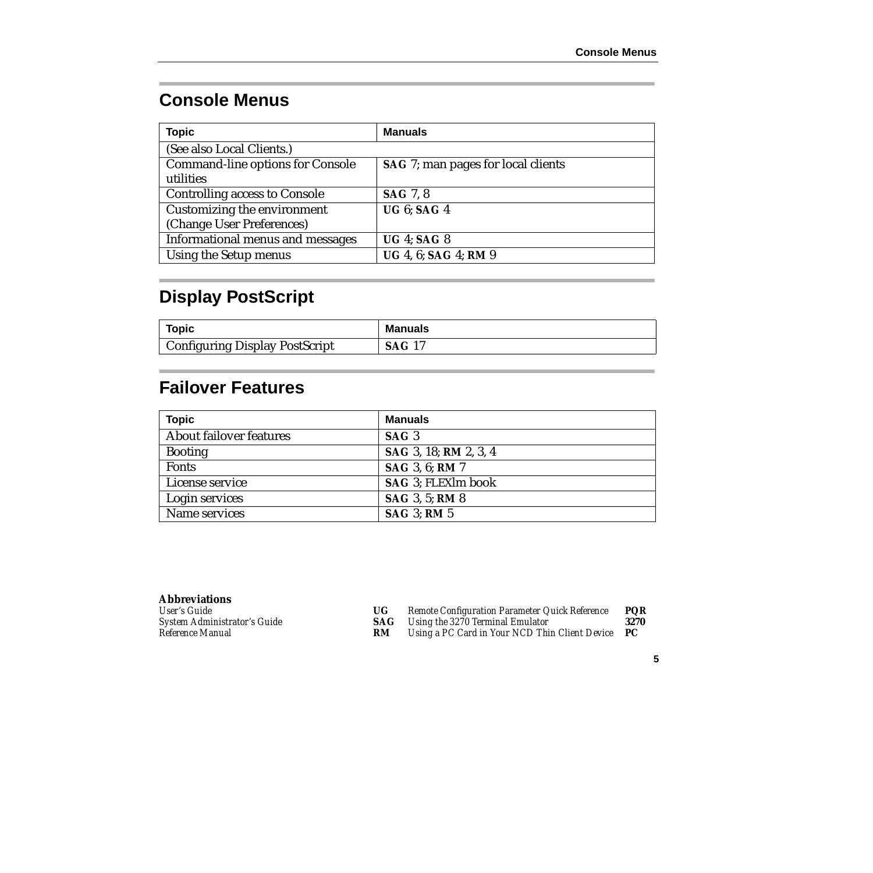#### <span id="page-12-0"></span>**Console Menus**

| <b>Topic</b>                         | <b>Manuals</b>                     |
|--------------------------------------|------------------------------------|
| (See also Local Clients.)            |                                    |
| Command-line options for Console     | SAG 7; man pages for local clients |
| utilities                            |                                    |
| <b>Controlling access to Console</b> | <b>SAG</b> 7, 8                    |
| Customizing the environment          | <b>UG 6; SAG 4</b>                 |
| (Change User Preferences)            |                                    |
| Informational menus and messages     | <b>UG 4; SAG 8</b>                 |
| Using the Setup menus                | <b>UG 4, 6; SAG 4; RM 9</b>        |

#### **Display PostScript**

| <b>Topic</b>                          | <b>Manuals</b> |
|---------------------------------------|----------------|
| <b>Configuring Display PostScript</b> | <b>SAG 17</b>  |

#### **Failover Features**

| <b>Topic</b>                   | <b>Manuals</b>        |
|--------------------------------|-----------------------|
| <b>About failover features</b> | SAG <sub>3</sub>      |
| <b>Booting</b>                 | SAG 3, 18; RM 2, 3, 4 |
| Fonts                          | SAG 3, 6; RM 7        |
| License service                | SAG 3; FLEXIm book    |
| Login services                 | <b>SAG 3, 5; RM 8</b> |
| Name services                  | <b>SAG 3; RM 5</b>    |

**Abbreviations**

*User's Guide* **UG** *Remote Configuration Parameter Quick Reference* **PQR**

*System Administrator's Guide* **SAG** *Using the 3270 Terminal Emulator* **3270**

**RM** *Using a PC Card in Your NCD Thin Client Device* **PC** *Reference Manual*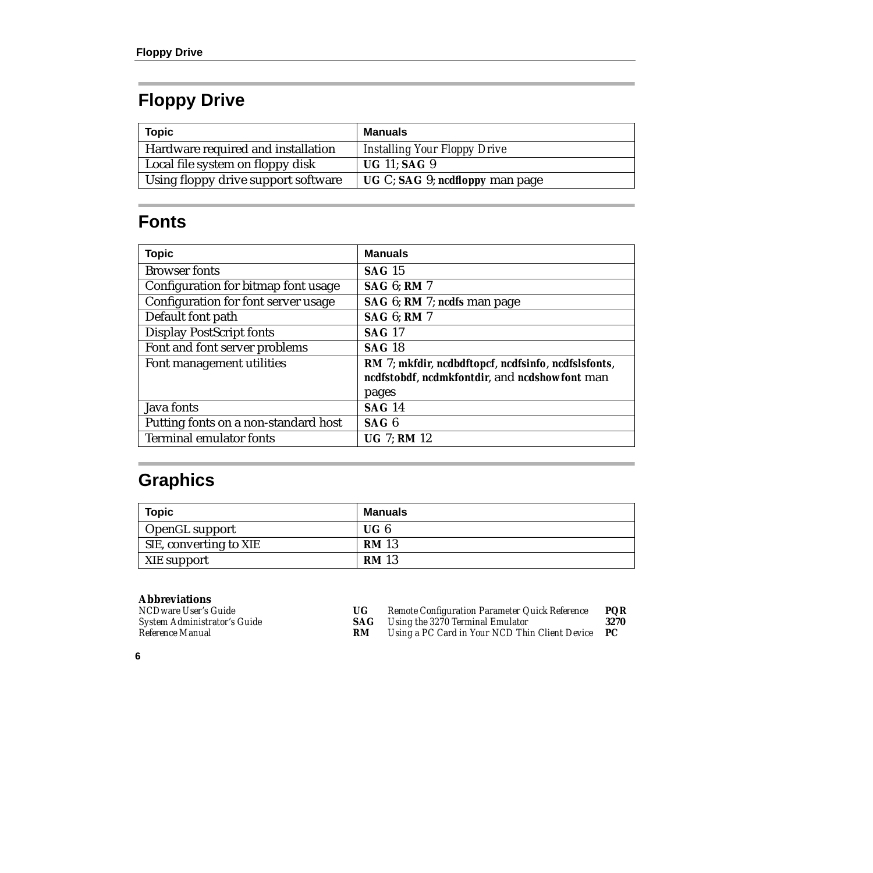#### <span id="page-13-0"></span>**Floppy Drive**

| <b>Topic</b>                        | Manuals                             |
|-------------------------------------|-------------------------------------|
| Hardware required and installation  | <b>Installing Your Floppy Drive</b> |
| Local file system on floppy disk    | <b>UG 11: SAG 9</b>                 |
| Using floppy drive support software | UG C; SAG 9; ncdfloppy man page     |

#### **Fonts**

| <b>Topic</b>                         | <b>Manuals</b>                                      |
|--------------------------------------|-----------------------------------------------------|
| <b>Browser fonts</b>                 | <b>SAG 15</b>                                       |
| Configuration for bitmap font usage  | <b>SAG 6; RM 7</b>                                  |
| Configuration for font server usage  | SAG 6; RM 7; ncdfs man page                         |
| Default font path                    | <b>SAG 6; RM 7</b>                                  |
| <b>Display PostScript fonts</b>      | <b>SAG 17</b>                                       |
| Font and font server problems        | <b>SAG 18</b>                                       |
| Font management utilities            | RM 7; mkfdir, ncdbdftopcf, ncdfsinfo, ncdfslsfonts, |
|                                      | ncdfstobdf, ncdmkfontdir, and ncdshowfont man       |
|                                      | pages                                               |
| Java fonts                           | <b>SAG 14</b>                                       |
| Putting fonts on a non-standard host | SAG6                                                |
| <b>Terminal emulator fonts</b>       | <b>UG 7; RM 12</b>                                  |

#### **Graphics**

| Topic                  | <b>Manuals</b> |
|------------------------|----------------|
| OpenGL support         | UG6            |
| SIE, converting to XIE | <b>RM</b> 13   |
| XIE support            | <b>RM</b> 13   |

**Abbreviations**

*System Administrator's Guide* **SAG** *Using the 3270 Terminal Emulator* **3270**

*NCDware User's Guide* **UG** *Remote Configuration Parameter Quick Reference* **PQR**

*Reference Manual* **RM** *Using a PC Card in Your NCD Thin Client Device* **PC**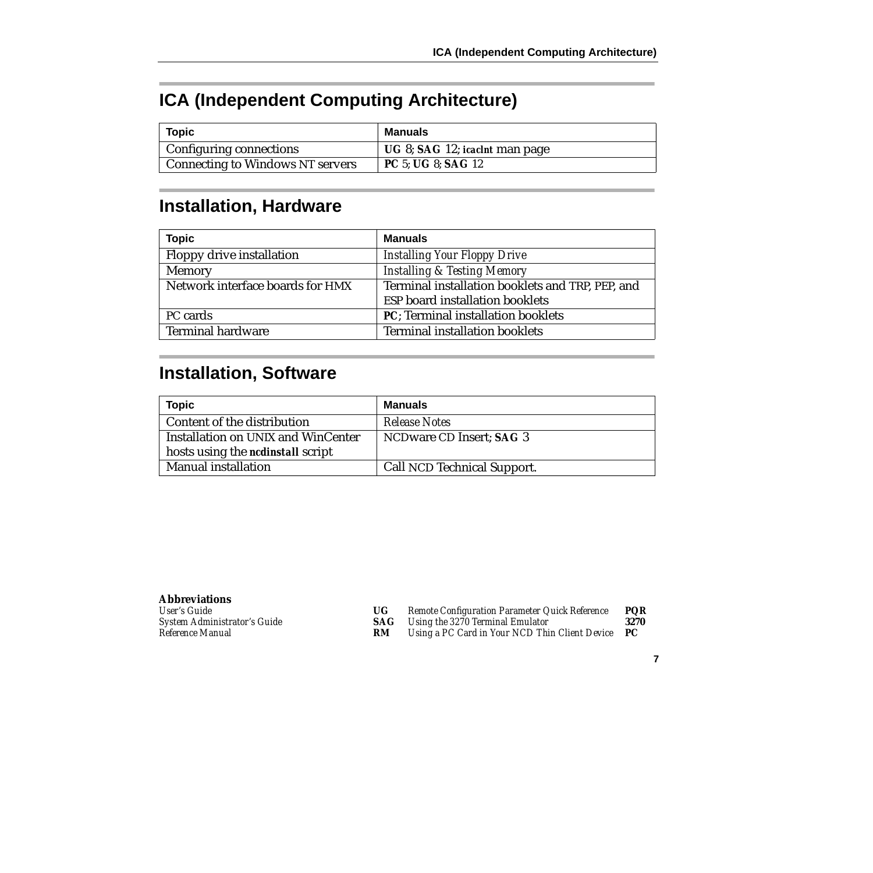#### <span id="page-14-0"></span>**ICA (Independent Computing Architecture)**

| <b>Topic</b>                            | Manuals                        |
|-----------------------------------------|--------------------------------|
| Configuring connections                 | UG 8; SAG 12; icaclnt man page |
| <b>Connecting to Windows NT servers</b> | <b>PC 5; UG 8; SAG 12</b>      |

#### **Installation, Hardware**

| <b>Topic</b>                     | <b>Manuals</b>                                   |
|----------------------------------|--------------------------------------------------|
| Floppy drive installation        | <b>Installing Your Floppy Drive</b>              |
| Memory                           | <b>Installing &amp; Testing Memory</b>           |
| Network interface boards for HMX | Terminal installation booklets and TRP, PEP, and |
|                                  | <b>ESP</b> board installation booklets           |
| PC cards                         | PC; Terminal installation booklets               |
| <b>Terminal hardware</b>         | <b>Terminal installation booklets</b>            |

#### **Installation, Software**

| <b>Topic</b>                             | <b>Manuals</b>                     |
|------------------------------------------|------------------------------------|
| Content of the distribution              | <b>Release Notes</b>               |
| Installation on UNIX and WinCenter       | NCDware CD Insert; SAG 3           |
| hosts using the <i>ncdinstall</i> script |                                    |
| <b>Manual installation</b>               | <b>Call NCD Technical Support.</b> |

**Abbreviations**

- *User's Guide* **UG** *Remote Configuration Parameter Quick Reference* **PQR**
	-

*System Administrator's Guide* **SAG** *Using the 3270 Terminal Emulator* **3270** *<u>Using a PC Card in Your NCD Thin Client Device*</u>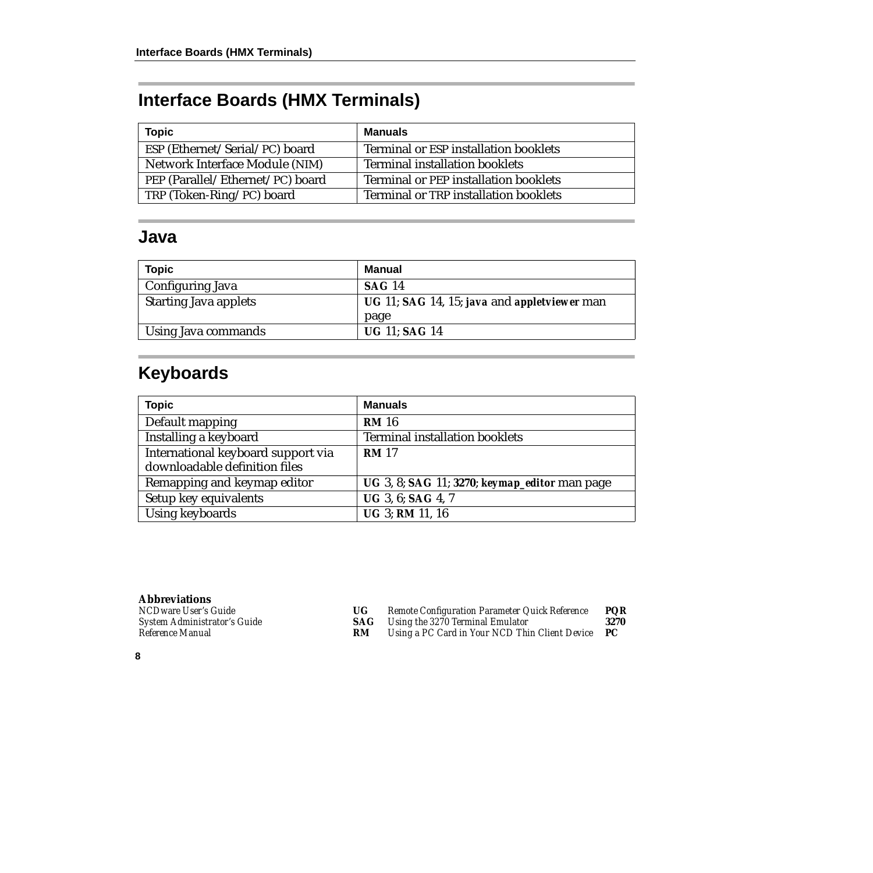#### <span id="page-15-0"></span>**Interface Boards (HMX Terminals)**

| <b>Topic</b>                     | Manuals                               |
|----------------------------------|---------------------------------------|
| ESP (Ethernet/Serial/PC) board   | Terminal or ESP installation booklets |
| Network Interface Module (NIM)   | Terminal installation booklets        |
| PEP (Parallel/Ethernet/PC) board | Terminal or PEP installation booklets |
| TRP (Token-Ring/PC) board        | Terminal or TRP installation booklets |

#### **Java**

| <b>Topic</b>                 | Manual                                              |
|------------------------------|-----------------------------------------------------|
| Configuring Java             | <b>SAG 14</b>                                       |
| <b>Starting Java applets</b> | <b>UG 11; SAG 14, 15; java and appletyiewer man</b> |
|                              | page                                                |
| Using Java commands          | <b>UG 11; SAG 14</b>                                |

#### **Keyboards**

| <b>Topic</b>                       | <b>Manuals</b>                                |
|------------------------------------|-----------------------------------------------|
| Default mapping                    | <b>RM</b> 16                                  |
| Installing a keyboard              | <b>Terminal installation booklets</b>         |
| International keyboard support via | <b>RM</b> 17                                  |
| downloadable definition files      |                                               |
| Remapping and keymap editor        | UG 3, 8; SAG 11; 3270; keymap_editor man page |
| Setup key equivalents              | UG 3, 6; SAG 4, 7                             |
| Using keyboards                    | <b>UG 3; RM 11, 16</b>                        |

**Abbreviations**

*NCDware User's Guide* **UG** *Remote Configuration Parameter Quick Reference* **PQR**

*System Administrator's Guide* **SAG** *Using the 3270 Terminal Emulator* **3270**  $L$  *Using a PC Card in Your NCD Thin Client Device*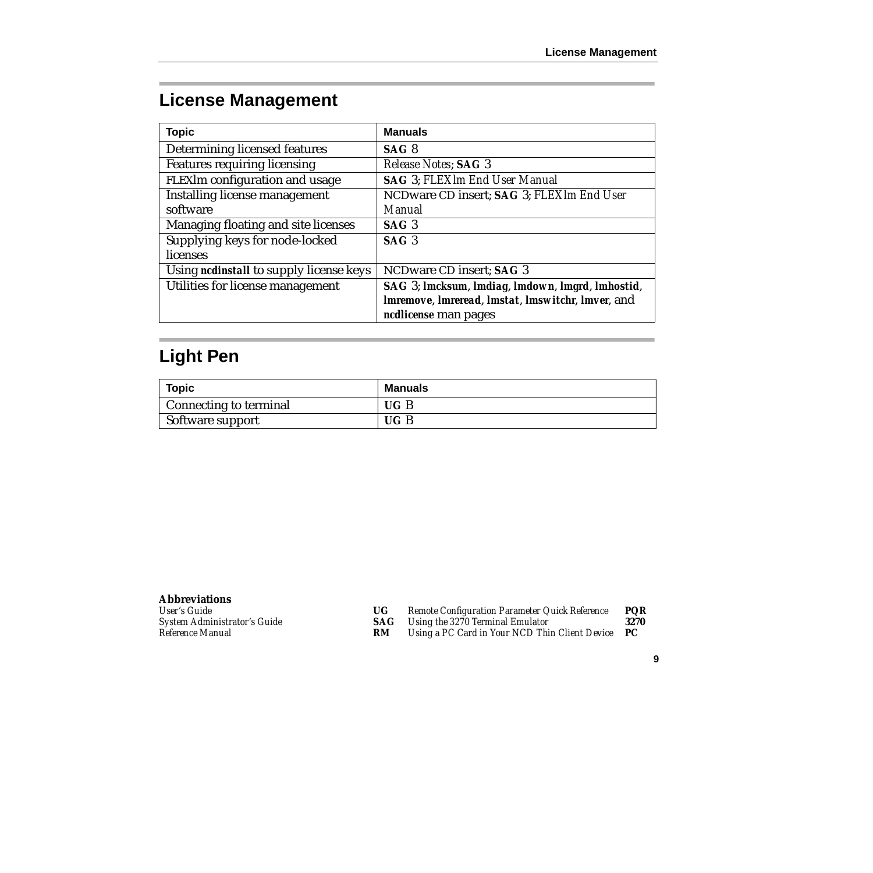#### <span id="page-16-0"></span>**License Management**

| <b>Topic</b>                                   | <b>Manuals</b>                                    |
|------------------------------------------------|---------------------------------------------------|
| Determining licensed features                  | SAG <sub>8</sub>                                  |
| <b>Features requiring licensing</b>            | <b>Release Notes; SAG 3</b>                       |
| FLEXIm configuration and usage                 | <b>SAG 3; FLEXIm End User Manual</b>              |
| Installing license management                  | NCDware CD insert; SAG 3; FLEXIm End User         |
| software                                       | <b>Manual</b>                                     |
| Managing floating and site licenses            | SAG <sub>3</sub>                                  |
| Supplying keys for node-locked                 | SAG <sub>3</sub>                                  |
| licenses                                       |                                                   |
| Using <i>ncdinstall</i> to supply license keys | NCDware CD insert; SAG 3                          |
| Utilities for license management               | SAG 3; Imcksum, Imdiag, Imdown, Imgrd, Imhostid,  |
|                                                | Imremove, Imreread, Imstat, Imswitchr, Imver, and |
|                                                | ncdlicense man pages                              |

#### **Light Pen**

| Topic                  | Manuals |
|------------------------|---------|
| Connecting to terminal | UGB     |
| Software support       | UGB     |

**Abbreviations** *System Administrator's Guide* **SAG** *Same Using the 3270 Terminal Emulator Reference Manual* **3270 3270 3270 3270 3270 3270 3270 3270 3270 3270 3270 3270 3270 3270 3270 3270 3270 3270 3** 

| ------------------           |                                                |            |
|------------------------------|------------------------------------------------|------------|
| User's Guide                 | Remote Configuration Parameter Quick Reference | <b>PQR</b> |
| System Administrator's Guide | <b>SAG</b> Using the 3270 Terminal Emulator    | 3270       |

*Reference Manual* **RM** *Using a PC Card in Your NCD Thin Client Device* **PC**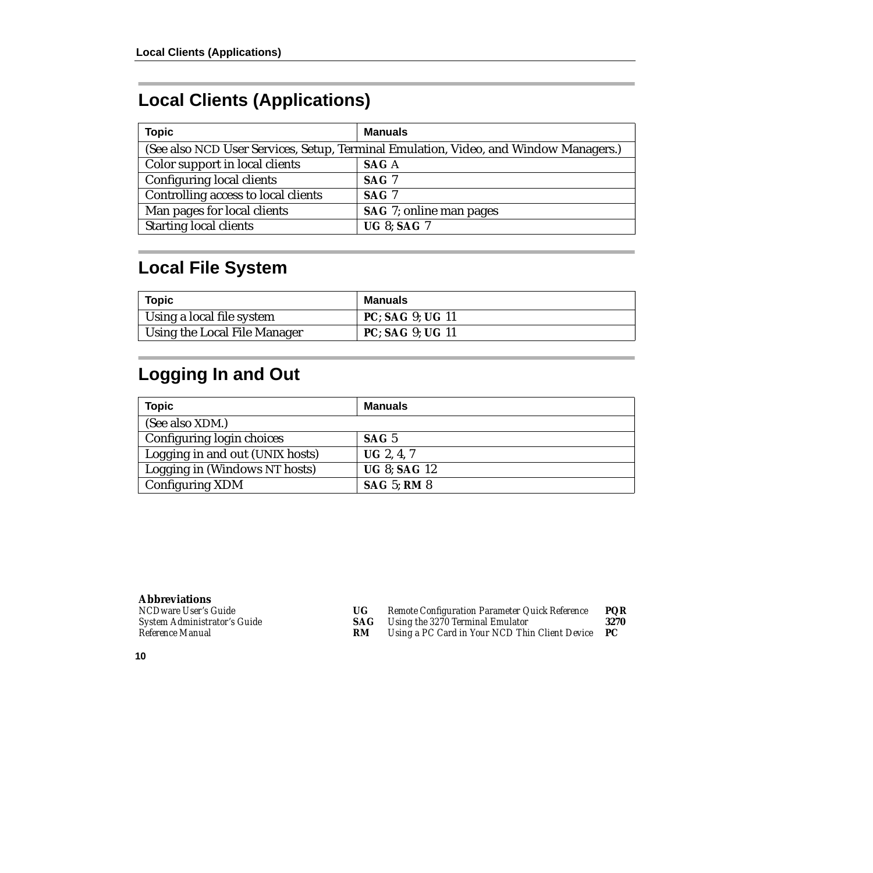#### <span id="page-17-0"></span>**Local Clients (Applications)**

| <b>Topic</b>                                                                         | <b>Manuals</b>          |  |
|--------------------------------------------------------------------------------------|-------------------------|--|
| (See also NCD User Services, Setup, Terminal Emulation, Video, and Window Managers.) |                         |  |
| Color support in local clients                                                       | <b>SAGA</b>             |  |
| Configuring local clients                                                            | SAG <sub>7</sub>        |  |
| Controlling access to local clients                                                  | SAG 7                   |  |
| Man pages for local clients                                                          | SAG 7; online man pages |  |
| <b>Starting local clients</b>                                                        | <b>UG 8; SAG 7</b>      |  |

#### **Local File System**

| <b>Topic</b>                 | Manuals                 |
|------------------------------|-------------------------|
| Using a local file system    | <b>PC: SAG 9: UG 11</b> |
| Using the Local File Manager | <b>PC; SAG 9; UG 11</b> |

#### **Logging In and Out**

| <b>Topic</b>                    | Manuals             |
|---------------------------------|---------------------|
| (See also XDM.)                 |                     |
| Configuring login choices       | SAG <sub>5</sub>    |
| Logging in and out (UNIX hosts) | UG 2, 4, 7          |
| Logging in (Windows NT hosts)   | <b>UG 8: SAG 12</b> |
| Configuring XDM                 | <b>SAG 5; RM 8</b>  |

**Abbreviations**

*NCDware User's Guide* **UG** *Remote Configuration Parameter Quick Reference* **PQR**

*System Administrator's Guide* **SAG** *Using the 3270 Terminal Emulator* **3270**  $L$ *Sing a PC Card in Your NCD Thin Client Device*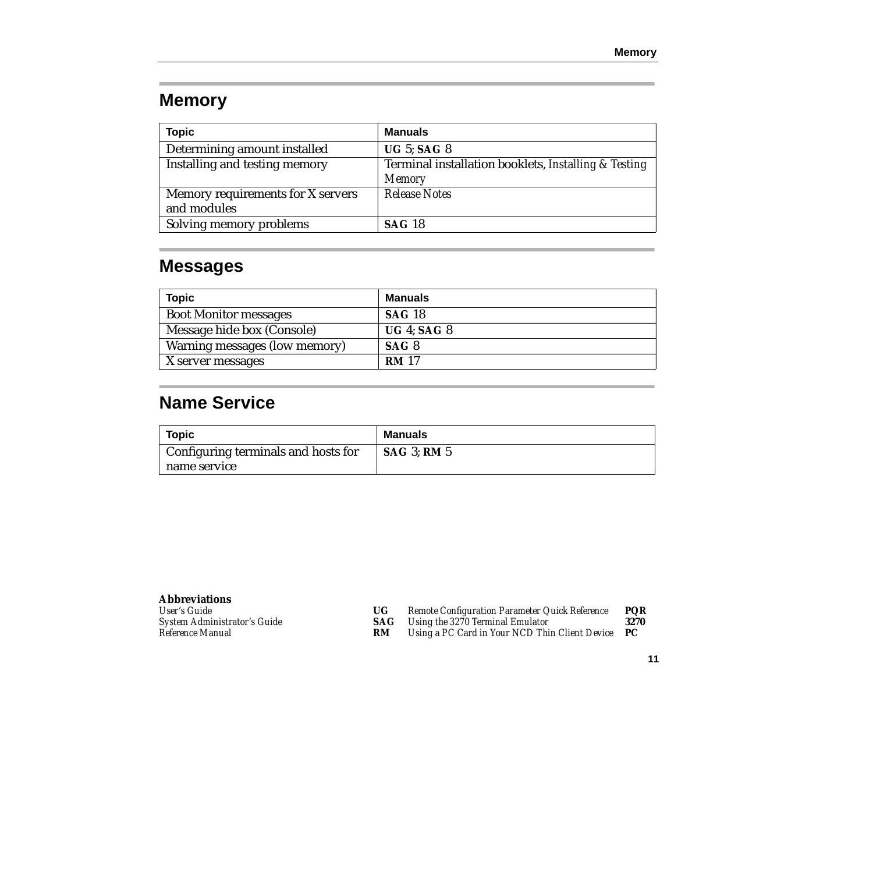#### <span id="page-18-0"></span>**Memory**

| <b>Topic</b>                      | <b>Manuals</b>                                       |
|-----------------------------------|------------------------------------------------------|
| Determining amount installed      | <b>UG 5; SAG 8</b>                                   |
| Installing and testing memory     | Terminal installation booklets, Installing & Testing |
|                                   | <b>Memory</b>                                        |
| Memory requirements for X servers | <b>Release Notes</b>                                 |
| and modules                       |                                                      |
| Solving memory problems           | <b>SAG 18</b>                                        |

#### **Messages**

| <b>Topic</b>                  | Manuals            |
|-------------------------------|--------------------|
| <b>Boot Monitor messages</b>  | <b>SAG 18</b>      |
| Message hide box (Console)    | <b>UG 4: SAG 8</b> |
| Warning messages (low memory) | SAG 8              |
| X server messages             | <b>RM</b> 17       |

#### **Name Service**

| <b>Topic</b>                        | <b>Manuals</b>     |
|-------------------------------------|--------------------|
| Configuring terminals and hosts for | <b>SAG 3: RM 5</b> |
| name service                        |                    |

**Abbreviations**

| User's Guide | <b>Remote Configuration Parameter Quick Reference</b> PQR |  |
|--------------|-----------------------------------------------------------|--|
|              |                                                           |  |

*System Administrator's Guide* **SAG** *Using the 3270 Terminal Emulator* **3270**

*Reference Manual* **RM** *Using a PC Card in Your NCD Thin Client Device* **PC**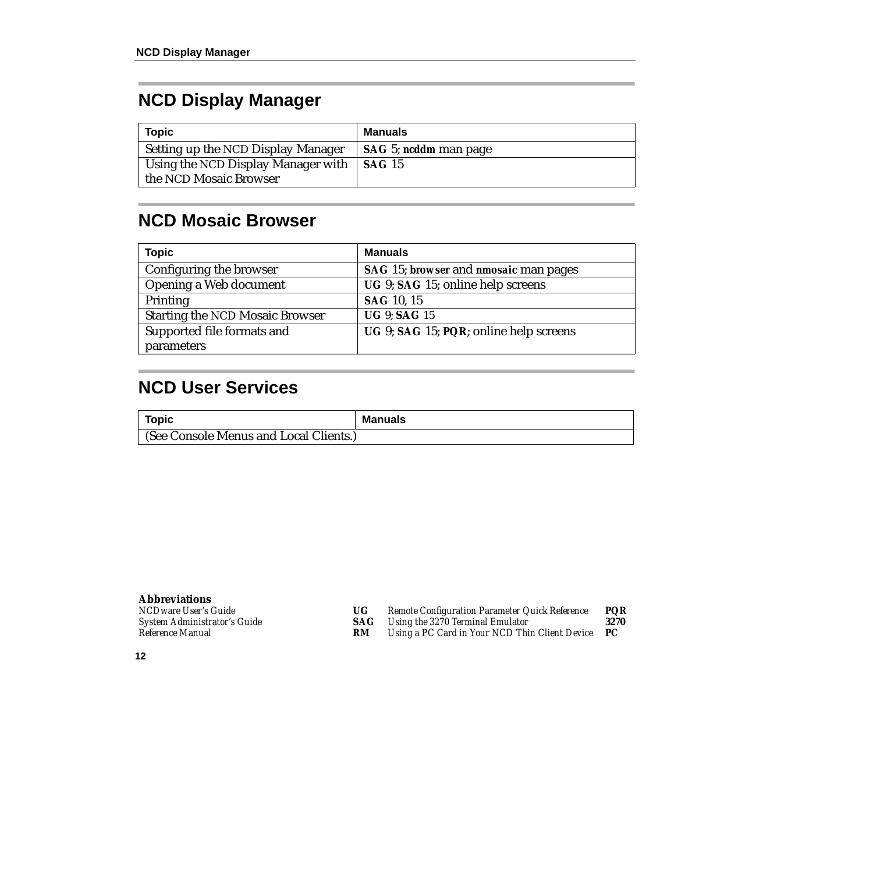#### <span id="page-19-0"></span>**NCD Display Manager**

| <b>Topic</b>                       | Manuals                             |
|------------------------------------|-------------------------------------|
| Setting up the NCD Display Manager | <b>SAG</b> 5; <i>ncddm</i> man page |
| Using the NCD Display Manager with | <b>SAG 15</b>                       |
| the NCD Mosaic Browser             |                                     |

#### **NCD Mosaic Browser**

| <b>Topic</b>                           | <b>Manuals</b>                                      |
|----------------------------------------|-----------------------------------------------------|
| Configuring the browser                | <b>SAG</b> 15; browser and <i>nmosaic</i> man pages |
| Opening a Web document                 | UG 9; SAG 15; online help screens                   |
| Printing                               | <b>SAG 10, 15</b>                                   |
| <b>Starting the NCD Mosaic Browser</b> | <b>UG 9: SAG 15</b>                                 |
| Supported file formats and             | UG 9; SAG 15; PQR; online help screens              |
| parameters                             |                                                     |

#### **NCD User Services**

| <b>Topic</b>                           | Manuals |
|----------------------------------------|---------|
| (See Console Menus and Local Clients.) |         |

**Abbreviations**

*NCDware User's Guide* **UG** *Remote Configuration Parameter Quick Reference* **PQR**

*System Administrator's Guide* **SAG** *Using the 3270 Terminal Emulator* **3270**  $L$ *Sing a PC Card in Your NCD Thin Client Device*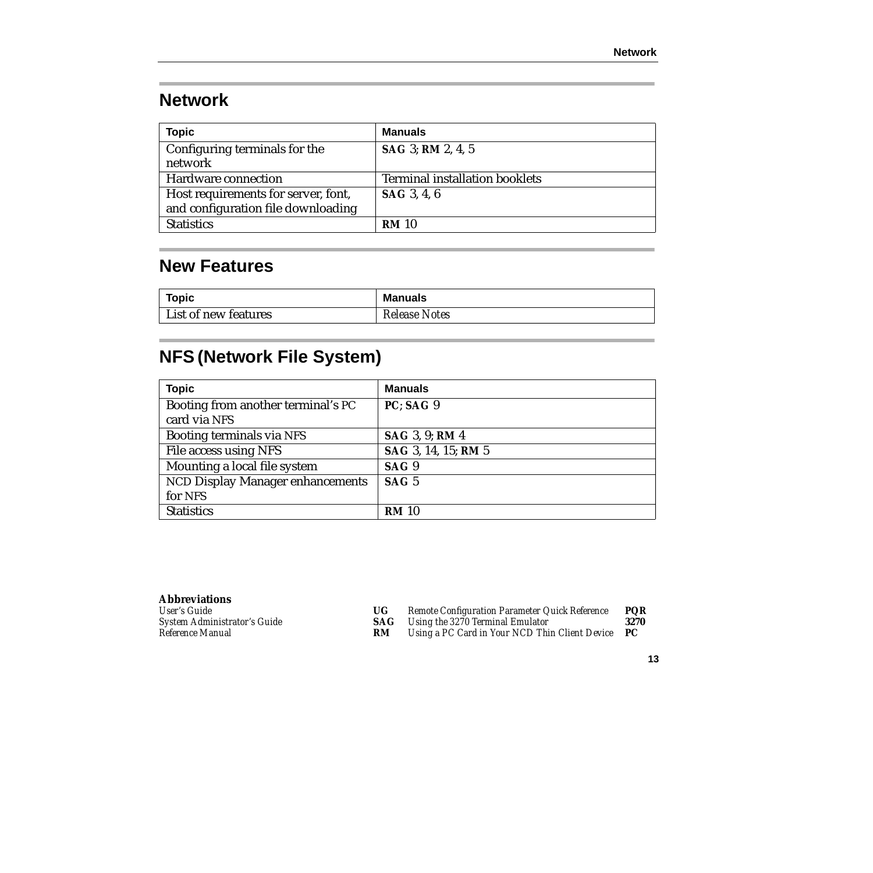#### <span id="page-20-0"></span>**Network**

| <b>Topic</b>                                                              | <b>Manuals</b>                        |
|---------------------------------------------------------------------------|---------------------------------------|
| Configuring terminals for the<br>network                                  | <b>SAG 3; RM 2, 4, 5</b>              |
| Hardware connection                                                       | <b>Terminal installation booklets</b> |
| Host requirements for server, font,<br>and configuration file downloading | SAG 3, 4, 6                           |
| <b>Statistics</b>                                                         | <b>RM</b> 10                          |

#### **New Features**

| <b>Topic</b>         | <b>Manuals</b>       |
|----------------------|----------------------|
| List of new features | <b>Release Notes</b> |

#### **NFS (Network File System)**

| <b>Topic</b>                       | <b>Manuals</b>      |
|------------------------------------|---------------------|
| Booting from another terminal's PC | PC: SAG 9           |
| card via NFS                       |                     |
| Booting terminals via NFS          | SAG 3, 9; RM 4      |
| File access using NFS              | SAG 3, 14, 15; RM 5 |
| Mounting a local file system       | SAG <sub>9</sub>    |
| NCD Display Manager enhancements   | SAG <sub>5</sub>    |
| for NFS                            |                     |
| <b>Statistics</b>                  | <b>RM</b> 10        |

**Abbreviations**

*User's Guide* **UG** *Remote Configuration Parameter Quick Reference* **PQR**

*System Administrator's Guide* **SAG** *Using the 3270 Terminal Emulator* **3270**

*Reference Manual* **RM** *Using a PC Card in Your NCD Thin Client Device* **PC**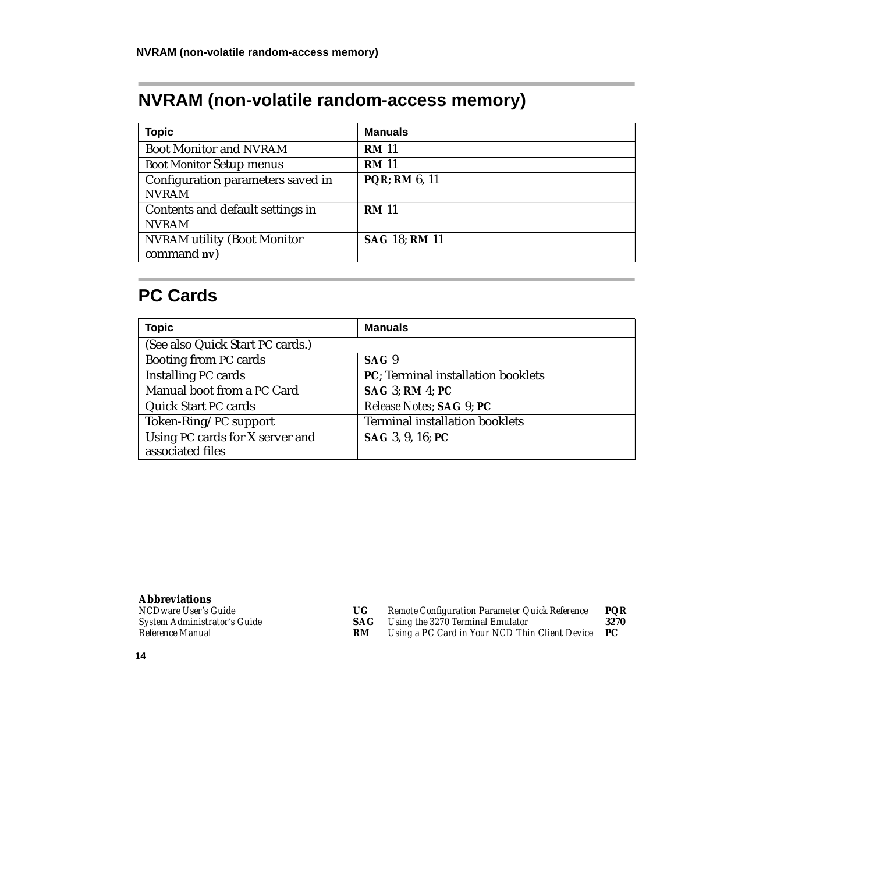#### <span id="page-21-0"></span>**NVRAM (non-volatile random-access memory)**

| <b>Topic</b>                       | <b>Manuals</b>       |
|------------------------------------|----------------------|
| <b>Boot Monitor and NVRAM</b>      | <b>RM</b> 11         |
| <b>Boot Monitor Setup menus</b>    | <b>RM</b> 11         |
| Configuration parameters saved in  | PQR; RM 6, 11        |
| <b>NVRAM</b>                       |                      |
| Contents and default settings in   | <b>RM</b> 11         |
| <b>NVRAM</b>                       |                      |
| <b>NVRAM</b> utility (Boot Monitor | <b>SAG 18; RM 11</b> |
| command nv)                        |                      |

#### **PC Cards**

| <b>Topic</b>                     | <b>Manuals</b>                        |
|----------------------------------|---------------------------------------|
| (See also Quick Start PC cards.) |                                       |
| Booting from PC cards            | SAG <sub>9</sub>                      |
| <b>Installing PC cards</b>       | PC; Terminal installation booklets    |
| Manual boot from a PC Card       | <b>SAG 3; RM 4; PC</b>                |
| Quick Start PC cards             | Release Notes; SAG 9; PC              |
| Token-Ring/PC support            | <b>Terminal installation booklets</b> |
| Using PC cards for X server and  | SAG 3, 9, 16; PC                      |
| associated files                 |                                       |

**Abbreviations**

*NCDware User's Guide* **UG** *Remote Configuration Parameter Quick Reference* **PQR**

*System Administrator's Guide* **SAG** *Using the 3270 Terminal Emulator* **3270**  $L$ *Sing a PC Card in Your NCD Thin Client Device*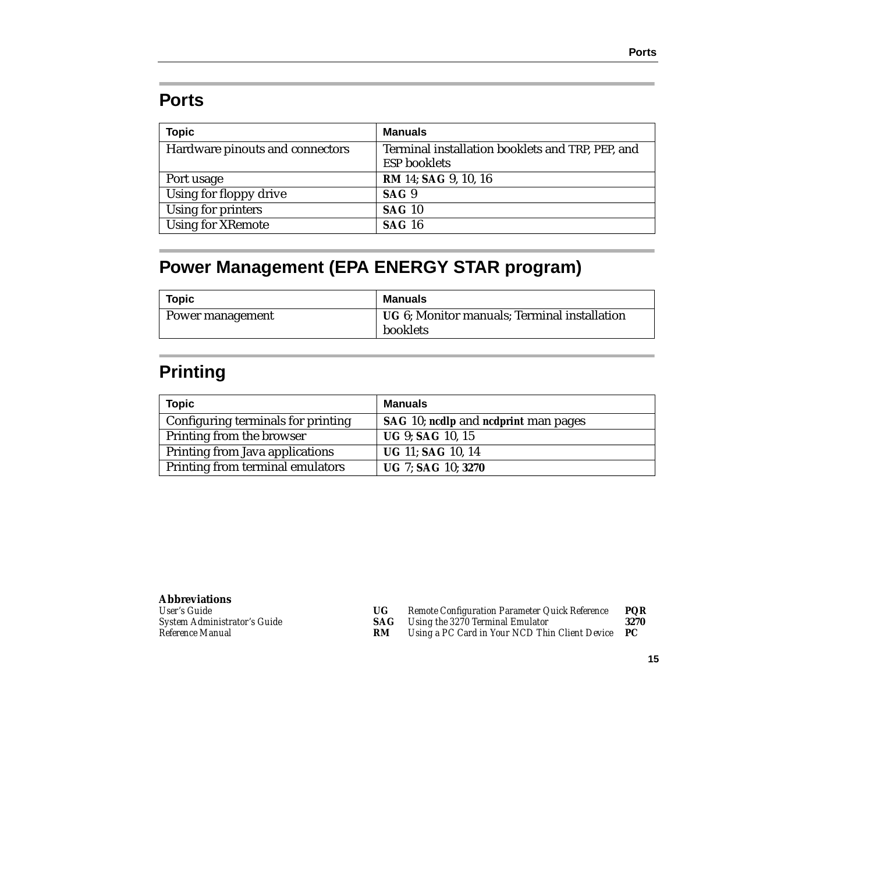#### <span id="page-22-0"></span>**Ports**

| <b>Topic</b>                    | <b>Manuals</b>                                                          |
|---------------------------------|-------------------------------------------------------------------------|
| Hardware pinouts and connectors | Terminal installation booklets and TRP, PEP, and<br><b>ESP</b> booklets |
| Port usage                      | RM 14; SAG 9, 10, 16                                                    |
| Using for floppy drive          | SAG <sub>9</sub>                                                        |
| Using for printers              | <b>SAG 10</b>                                                           |
| <b>Using for XRemote</b>        | <b>SAG 16</b>                                                           |

#### **Power Management (EPA ENERGY STAR program)**

| <b>Topic</b>     | <b>Manuals</b>                                           |
|------------------|----------------------------------------------------------|
| Power management | UG 6; Monitor manuals; Terminal installation<br>booklets |

### **Printing**

| <b>Topic</b>                       | Manuals                              |
|------------------------------------|--------------------------------------|
| Configuring terminals for printing | SAG 10; ncdlp and ncdprint man pages |
| Printing from the browser          | <b>UG 9: SAG 10, 15</b>              |
| Printing from Java applications    | <b>UG 11: SAG 10, 14</b>             |
| Printing from terminal emulators   | UG 7; SAG 10; 3270                   |

**Abbreviations**

*User's Guide* **UG** *Remote Configuration Parameter Quick Reference* **PQR**

*System Administrator's Guide* **SAG** *Using the 3270 Terminal Emulator* **3270**  $L$ *Sing a PC Card in Your NCD Thin Client Device*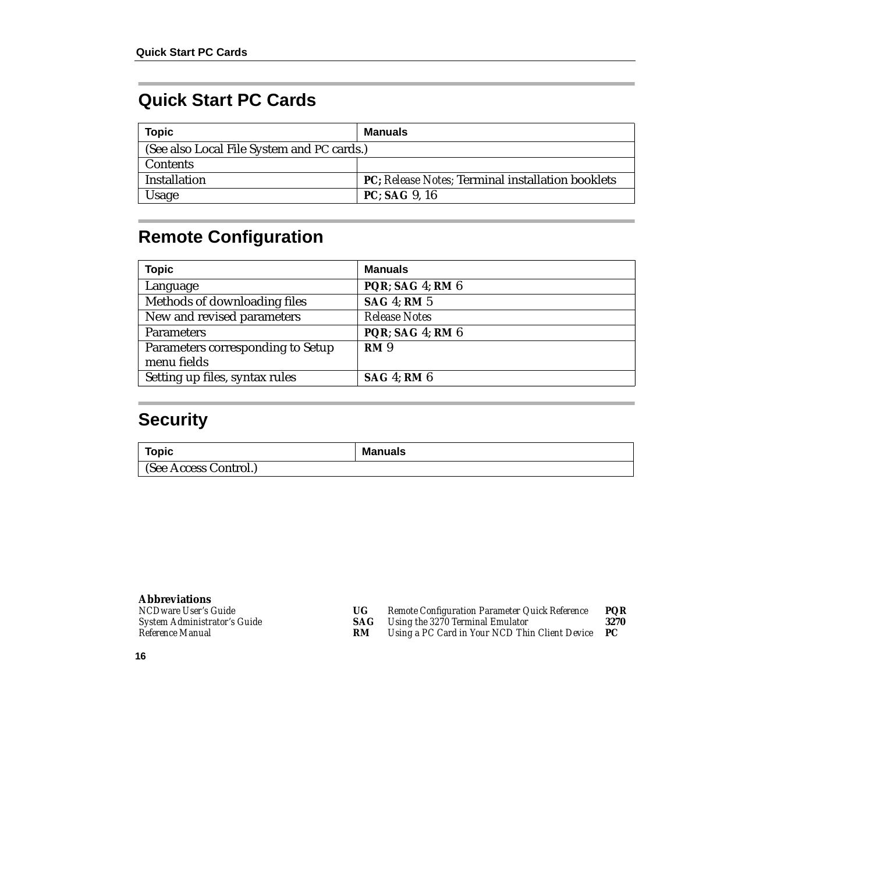#### <span id="page-23-0"></span>**Quick Start PC Cards**

| <b>Topic</b>                               | Manuals                                           |
|--------------------------------------------|---------------------------------------------------|
| (See also Local File System and PC cards.) |                                                   |
| Contents                                   |                                                   |
| Installation                               | PC; Release Notes; Terminal installation booklets |
| Usage                                      | PC: SAG 9, 16                                     |

#### **Remote Configuration**

| <b>Topic</b>                                     | <b>Manuals</b>          |
|--------------------------------------------------|-------------------------|
| Language                                         | <b>PQR; SAG 4; RM 6</b> |
| Methods of downloading files                     | <b>SAG 4; RM 5</b>      |
| New and revised parameters                       | <b>Release Notes</b>    |
| <b>Parameters</b>                                | <b>PQR; SAG 4; RM 6</b> |
| Parameters corresponding to Setup<br>menu fields | RM <sub>9</sub>         |
| Setting up files, syntax rules                   | <b>SAG 4; RM 6</b>      |

#### **Security**

| <b>Topic</b>          | <b>Manuals</b> |
|-----------------------|----------------|
| (See Access Control.) |                |

**Abbreviations**

*NCDware User's Guide* **UG** *Remote Configuration Parameter Quick Reference* **PQR**

*System Administrator's Guide* **SAG** *Using the 3270 Terminal Emulator* **3270**  $L$  *Using a PC Card in Your NCD Thin Client Device*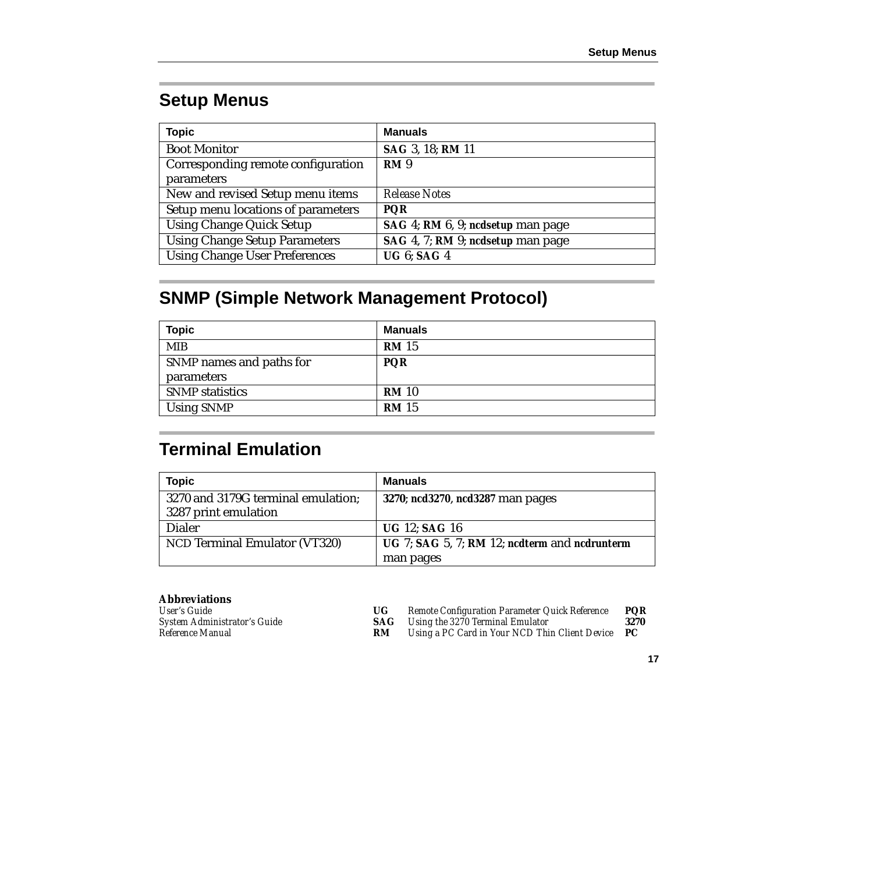#### <span id="page-24-0"></span>**Setup Menus**

| <b>Topic</b>                         | <b>Manuals</b>                    |
|--------------------------------------|-----------------------------------|
| <b>Boot Monitor</b>                  | SAG 3, 18; RM 11                  |
| Corresponding remote configuration   | RM <sub>9</sub>                   |
| parameters                           |                                   |
| New and revised Setup menu items     | <b>Release Notes</b>              |
| Setup menu locations of parameters   | PQR                               |
| <b>Using Change Quick Setup</b>      | SAG 4; RM 6, 9; ncdsetup man page |
| <b>Using Change Setup Parameters</b> | SAG 4, 7; RM 9; ncdsetup man page |
| <b>Using Change User Preferences</b> | <b>UG 6; SAG 4</b>                |

#### **SNMP (Simple Network Management Protocol)**

| <b>Topic</b>             | Manuals      |
|--------------------------|--------------|
| <b>MIB</b>               | <b>RM</b> 15 |
| SNMP names and paths for | <b>PQR</b>   |
| parameters               |              |
| <b>SNMP</b> statistics   | <b>RM</b> 10 |
| Using SNMP               | <b>RM</b> 15 |

#### **Terminal Emulation**

| <b>Topic</b>                       | <b>Manuals</b>                                |
|------------------------------------|-----------------------------------------------|
| 3270 and 3179G terminal emulation; | 3270; ncd3270, ncd3287 man pages              |
| 3287 print emulation               |                                               |
| <b>Dialer</b>                      | <b>UG 12; SAG 16</b>                          |
| NCD Terminal Emulator (VT320)      | UG 7; SAG 5, 7; RM 12; nodterm and nodrunterm |
|                                    | man pages                                     |

**Abbreviations System Administrator's Guide SAG Reference Manual RM** 

| .                            |                                                                            |        |
|------------------------------|----------------------------------------------------------------------------|--------|
| User's Guide                 | Remote Configuration Parameter Quick Reference                             | PQR    |
| System Administrator's Guide | <b>SAG</b> Using the 3270 Terminal Emulator                                | 3270   |
| $\sim$ $\sim$ $\sim$ $\sim$  | $\mathbf{r}$ . The contract of $\mathbf{r}$ . The contract of $\mathbf{r}$ | $\sim$ |

*<i>Using a PC Card in Your NCD Thin Client Device* **PC**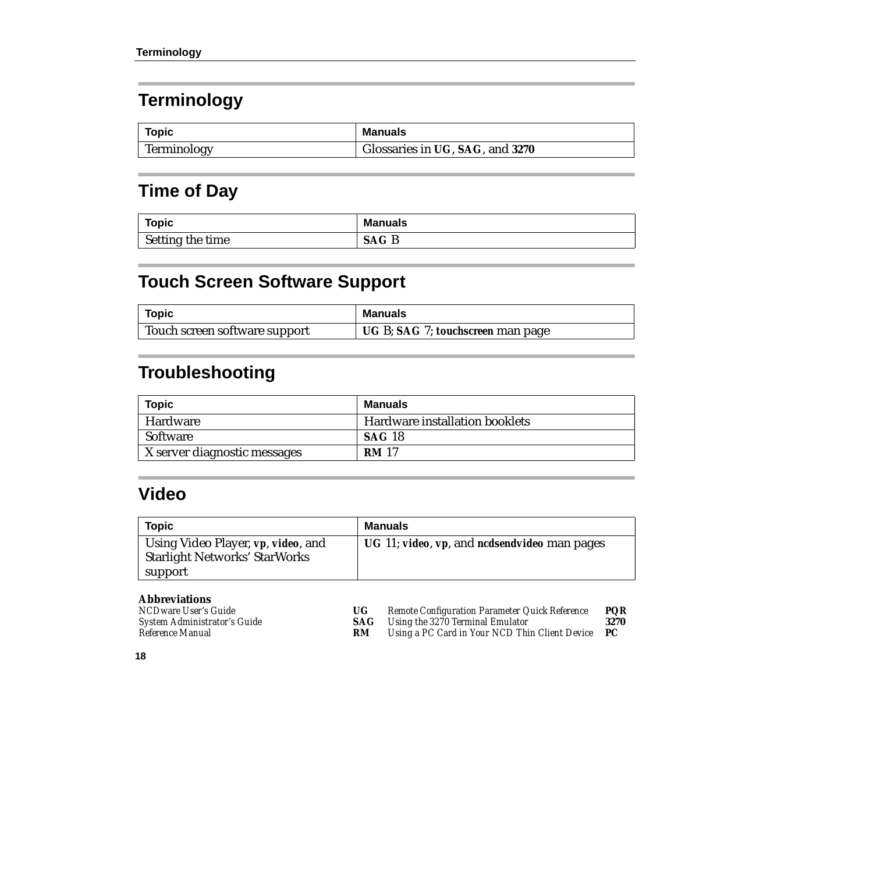#### <span id="page-25-0"></span>**Terminology**

| Topic       | Manuals                         |
|-------------|---------------------------------|
| Terminology | Glossaries in UG, SAG, and 3270 |

#### **Time of Day**

| <b>Topic</b>     | <b>Manuals</b> |
|------------------|----------------|
| Setting the time | SAG B          |

#### **Touch Screen Software Support**

| Topic                                 | Manuals                                  |
|---------------------------------------|------------------------------------------|
| $\lnot$ Touch screen software support | <b>UG B; SAG 7; touchscreen man page</b> |

#### **Troubleshooting**

| <b>Topic</b>                 | Manuals                        |
|------------------------------|--------------------------------|
| Hardware                     | Hardware installation booklets |
| Software                     | <b>SAG 18</b>                  |
| X server diagnostic messages | <b>RM</b> 17                   |

#### **Video**

| <b>Topic</b>                                                               | Manuals                                      |
|----------------------------------------------------------------------------|----------------------------------------------|
| Using Video Player, vp, video, and<br><b>Starlight Networks' StarWorks</b> | UG 11; video, vp, and ncdsendvideo man pages |
| support                                                                    |                                              |

### **Abbreviations**

*NCDware User's Guide* **UG** *Remote Configuration Parameter Quick Reference* **PQR** *System Administrator's Guide* **SAG** *Using the 3270 Terminal Emulator* **3270**

 $L$ *Sing a PC Card in Your NCD Thin Client Device*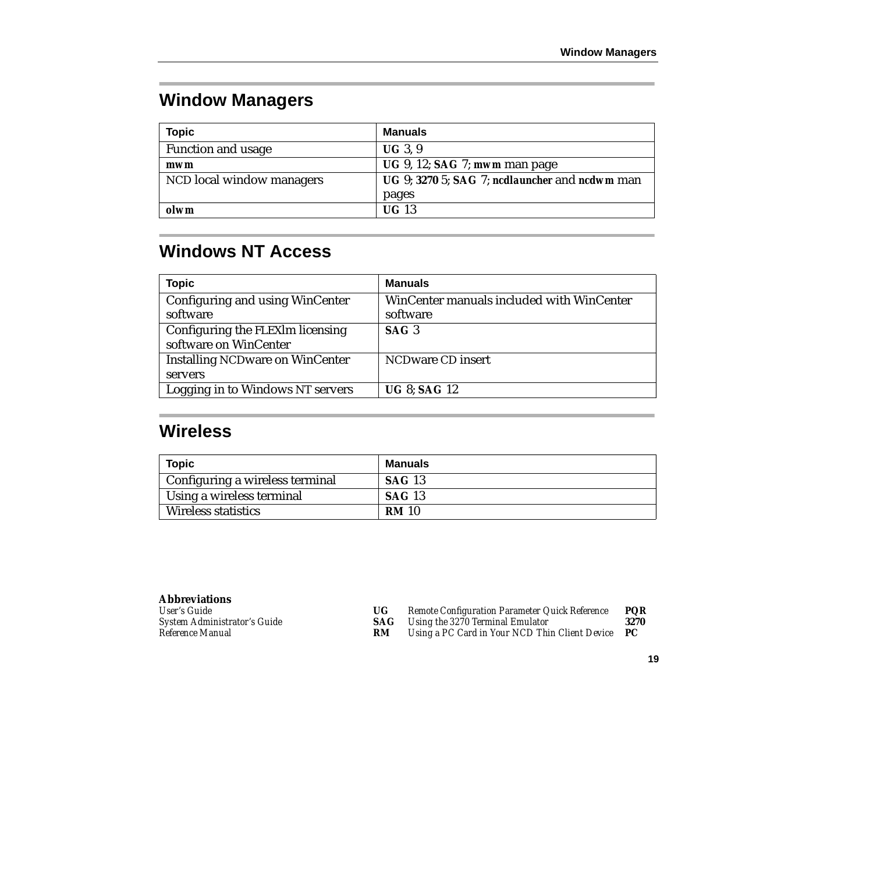#### <span id="page-26-0"></span>**Window Managers**

| <b>Topic</b>              | Manuals                                        |
|---------------------------|------------------------------------------------|
| <b>Function and usage</b> | $UG$ 3, 9                                      |
| mwm                       | UG 9, 12; SAG 7; mwm man page                  |
| NCD local window managers | UG 9; 3270 5; SAG 7; ncdlauncher and ncdwm man |
|                           | pages                                          |
| olwm                      | <b>UG</b> 13                                   |

#### **Windows NT Access**

| <b>Topic</b>                           | <b>Manuals</b>                            |
|----------------------------------------|-------------------------------------------|
| Configuring and using WinCenter        | WinCenter manuals included with WinCenter |
| software                               | software                                  |
| Configuring the FLEXIm licensing       | SAG <sub>3</sub>                          |
| software on WinCenter                  |                                           |
| <b>Installing NCDware on WinCenter</b> | NCDware CD insert                         |
| servers                                |                                           |
| Logging in to Windows NT servers       | <b>UG 8; SAG 12</b>                       |

#### **Wireless**

| <b>Topic</b>                    | Manuals       |
|---------------------------------|---------------|
| Configuring a wireless terminal | <b>SAG 13</b> |
| Using a wireless terminal       | <b>SAG 13</b> |
| <b>Wireless statistics</b>      | <b>RM</b> 10  |

**Abbreviations**

- *User's Guide* **UG** *Remote Configuration Parameter Quick Reference* **PQR**
- *System Administrator's Guide* **SAG** *Using the 3270 Terminal Emulator* **3270**
- *Reference Manual* **RM** *Using a PC Card in Your NCD Thin Client Device* **PC**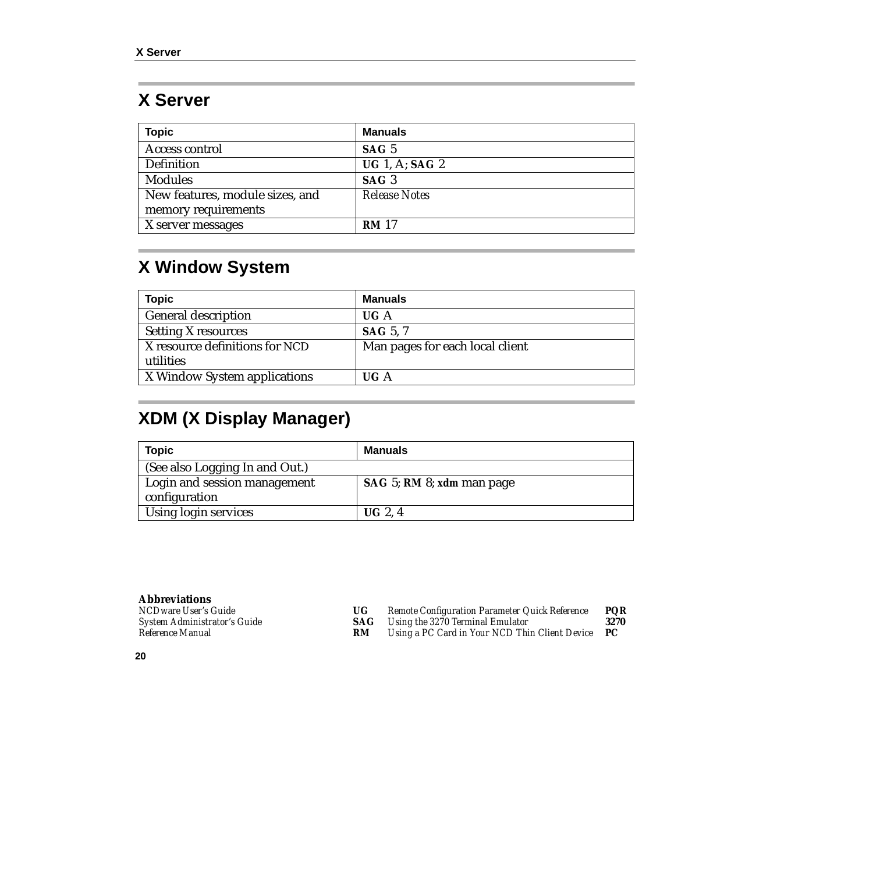#### <span id="page-27-0"></span>**X Server**

| <b>Topic</b>                                           | <b>Manuals</b>       |
|--------------------------------------------------------|----------------------|
| Access control                                         | SAG <sub>5</sub>     |
| Definition                                             | UG 1, A; SAG 2       |
| <b>Modules</b>                                         | SAG <sub>3</sub>     |
| New features, module sizes, and<br>memory requirements | <b>Release Notes</b> |
| X server messages                                      | <b>RM</b> 17         |

#### **X Window System**

| <b>Topic</b>                   | <b>Manuals</b>                  |
|--------------------------------|---------------------------------|
| <b>General description</b>     | UG A                            |
| <b>Setting X resources</b>     | <b>SAG 5.7</b>                  |
| X resource definitions for NCD | Man pages for each local client |
| utilities                      |                                 |
| X Window System applications   | UG A                            |

#### **XDM (X Display Manager)**

| Topic                          | Manuals                   |
|--------------------------------|---------------------------|
| (See also Logging In and Out.) |                           |
| Login and session management   | SAG 5; RM 8; xdm man page |
| configuration                  |                           |
| Using login services           | $UG$ 2, 4                 |

**Abbreviations**

*NCDware User's Guide* **UG** *Remote Configuration Parameter Quick Reference* **PQR**

*System Administrator's Guide* **SAG** *Using the 3270 Terminal Emulator* **3270**  $L$  *Using a PC Card in Your NCD Thin Client Device*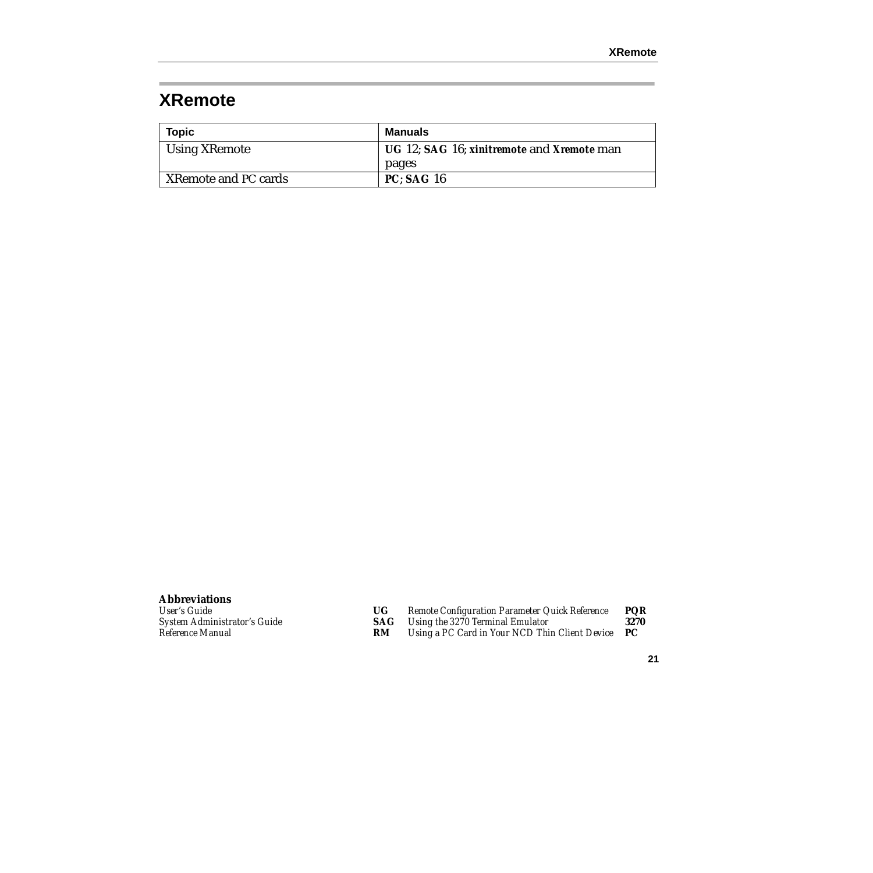#### <span id="page-28-0"></span>**XRemote**

| <b>Topic</b>         | Manuals                                           |
|----------------------|---------------------------------------------------|
| <b>Using XRemote</b> | <b>UG 12; SAG 16; xinitremote and Xremote man</b> |
|                      | pages                                             |
| XRemote and PC cards | PC: SAG 16                                        |

**Abbreviations**

| User's Guide | <b>Remote Configuration Parameter Quick Reference</b> PQR |  |
|--------------|-----------------------------------------------------------|--|
|              |                                                           |  |

*System Administrator's Guide* **SAG** *Using the 3270 Terminal Emulator* **3270**

*Reference Manual* **RM** *Using a PC Card in Your NCD Thin Client Device* **PC**